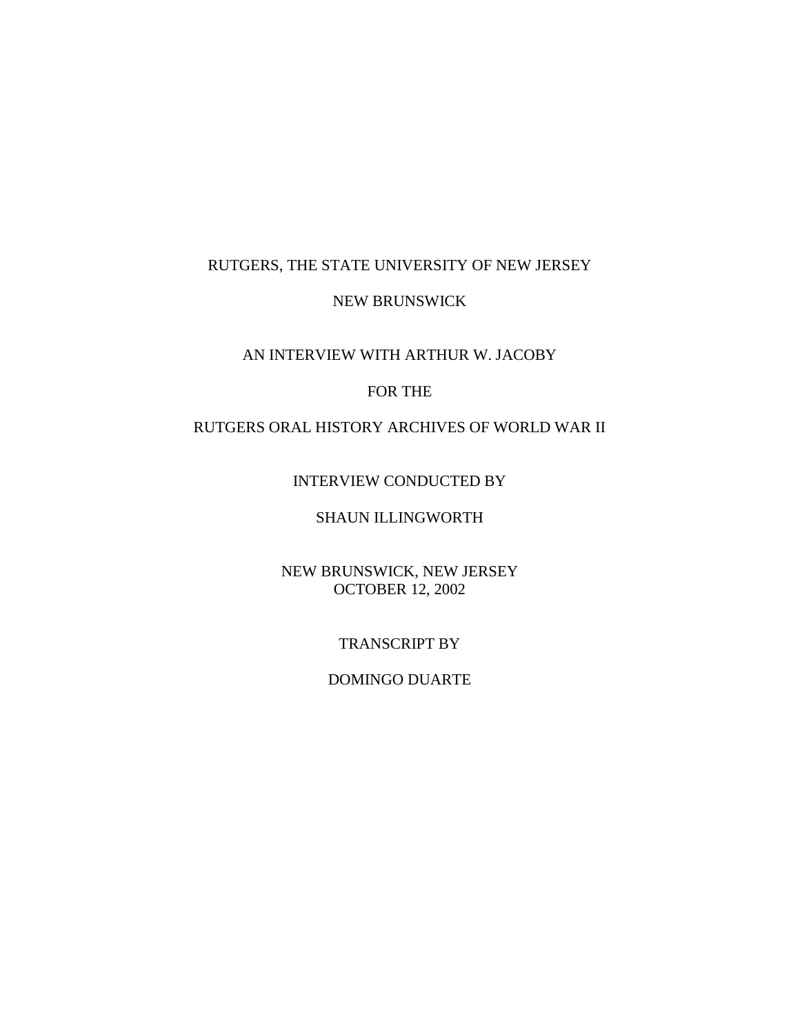## RUTGERS, THE STATE UNIVERSITY OF NEW JERSEY

### NEW BRUNSWICK

### AN INTERVIEW WITH ARTHUR W. JACOBY

### FOR THE

# RUTGERS ORAL HISTORY ARCHIVES OF WORLD WAR II

### INTERVIEW CONDUCTED BY

# SHAUN ILLINGWORTH

## NEW BRUNSWICK, NEW JERSEY OCTOBER 12, 2002

### TRANSCRIPT BY

#### DOMINGO DUARTE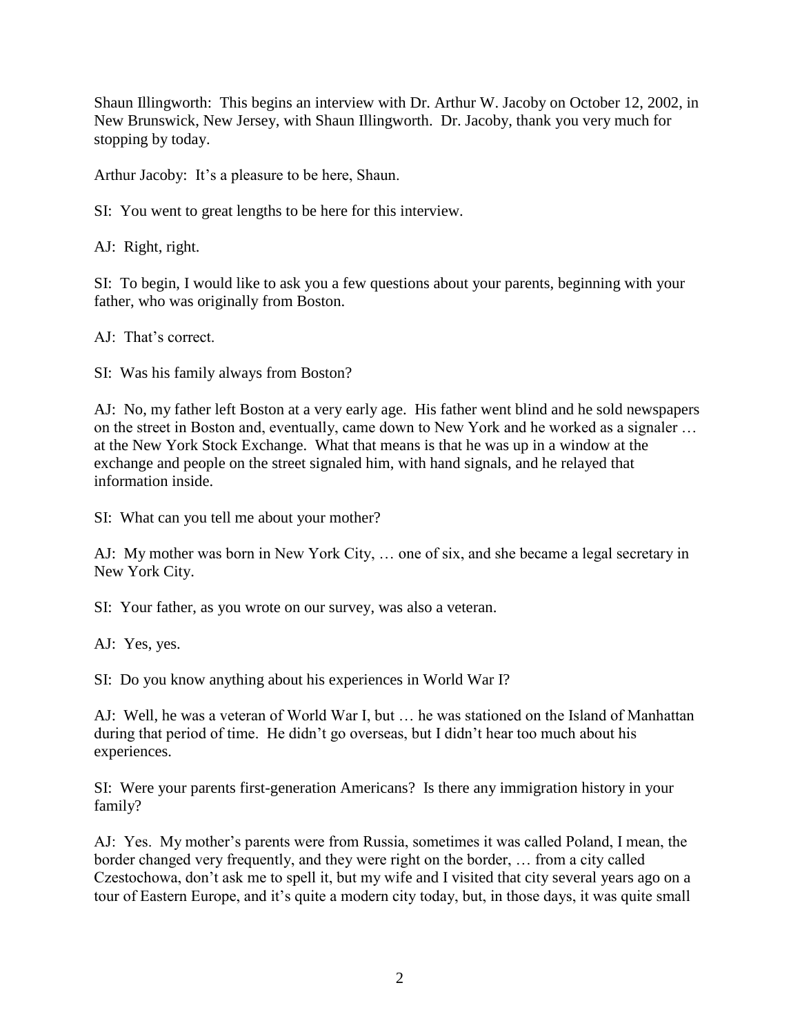Shaun Illingworth: This begins an interview with Dr. Arthur W. Jacoby on October 12, 2002, in New Brunswick, New Jersey, with Shaun Illingworth. Dr. Jacoby, thank you very much for stopping by today.

Arthur Jacoby: It's a pleasure to be here, Shaun.

SI: You went to great lengths to be here for this interview.

AJ: Right, right.

SI: To begin, I would like to ask you a few questions about your parents, beginning with your father, who was originally from Boston.

AJ: That's correct.

SI: Was his family always from Boston?

AJ: No, my father left Boston at a very early age. His father went blind and he sold newspapers on the street in Boston and, eventually, came down to New York and he worked as a signaler … at the New York Stock Exchange. What that means is that he was up in a window at the exchange and people on the street signaled him, with hand signals, and he relayed that information inside.

SI: What can you tell me about your mother?

AJ: My mother was born in New York City, … one of six, and she became a legal secretary in New York City.

SI: Your father, as you wrote on our survey, was also a veteran.

AJ: Yes, yes.

SI: Do you know anything about his experiences in World War I?

AJ: Well, he was a veteran of World War I, but … he was stationed on the Island of Manhattan during that period of time. He didn't go overseas, but I didn't hear too much about his experiences.

SI: Were your parents first-generation Americans? Is there any immigration history in your family?

AJ: Yes. My mother's parents were from Russia, sometimes it was called Poland, I mean, the border changed very frequently, and they were right on the border, … from a city called Czestochowa, don't ask me to spell it, but my wife and I visited that city several years ago on a tour of Eastern Europe, and it's quite a modern city today, but, in those days, it was quite small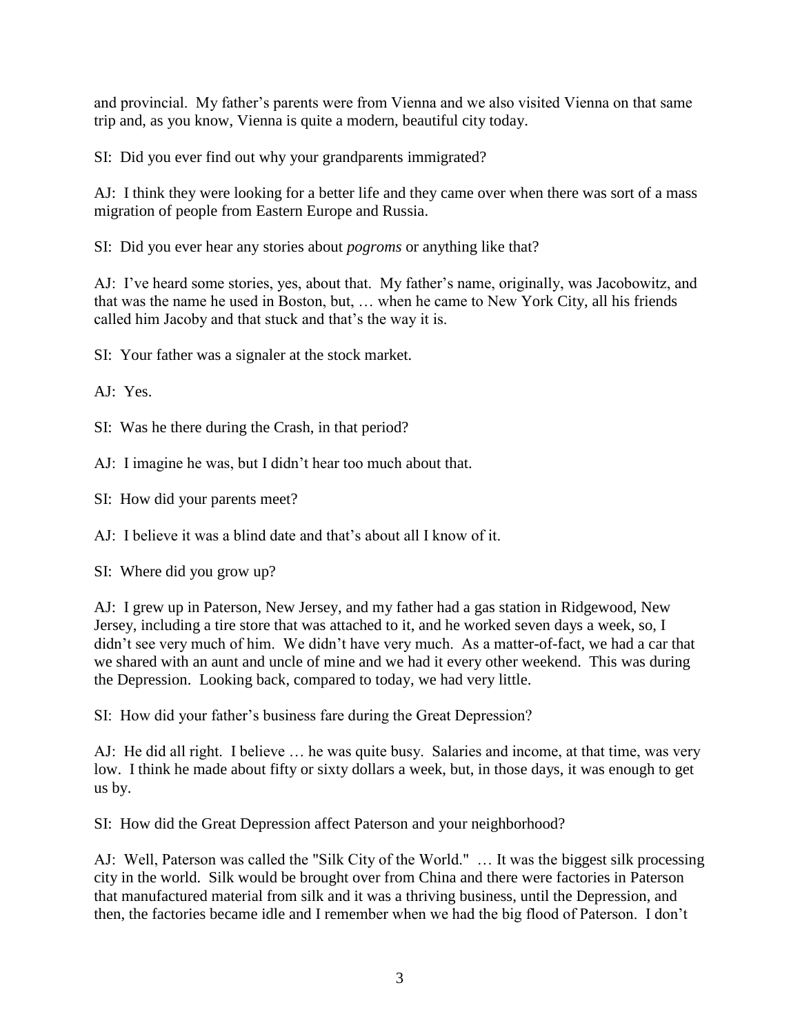and provincial. My father's parents were from Vienna and we also visited Vienna on that same trip and, as you know, Vienna is quite a modern, beautiful city today.

SI: Did you ever find out why your grandparents immigrated?

AJ: I think they were looking for a better life and they came over when there was sort of a mass migration of people from Eastern Europe and Russia.

SI: Did you ever hear any stories about *pogroms* or anything like that?

AJ: I've heard some stories, yes, about that. My father's name, originally, was Jacobowitz, and that was the name he used in Boston, but, … when he came to New York City, all his friends called him Jacoby and that stuck and that's the way it is.

SI: Your father was a signaler at the stock market.

AJ: Yes.

SI: Was he there during the Crash, in that period?

AJ: I imagine he was, but I didn't hear too much about that.

SI: How did your parents meet?

AJ: I believe it was a blind date and that's about all I know of it.

SI: Where did you grow up?

AJ: I grew up in Paterson, New Jersey, and my father had a gas station in Ridgewood, New Jersey, including a tire store that was attached to it, and he worked seven days a week, so, I didn't see very much of him. We didn't have very much. As a matter-of-fact, we had a car that we shared with an aunt and uncle of mine and we had it every other weekend. This was during the Depression. Looking back, compared to today, we had very little.

SI: How did your father's business fare during the Great Depression?

AJ: He did all right. I believe … he was quite busy. Salaries and income, at that time, was very low. I think he made about fifty or sixty dollars a week, but, in those days, it was enough to get us by.

SI: How did the Great Depression affect Paterson and your neighborhood?

AJ: Well, Paterson was called the "Silk City of the World." … It was the biggest silk processing city in the world. Silk would be brought over from China and there were factories in Paterson that manufactured material from silk and it was a thriving business, until the Depression, and then, the factories became idle and I remember when we had the big flood of Paterson. I don't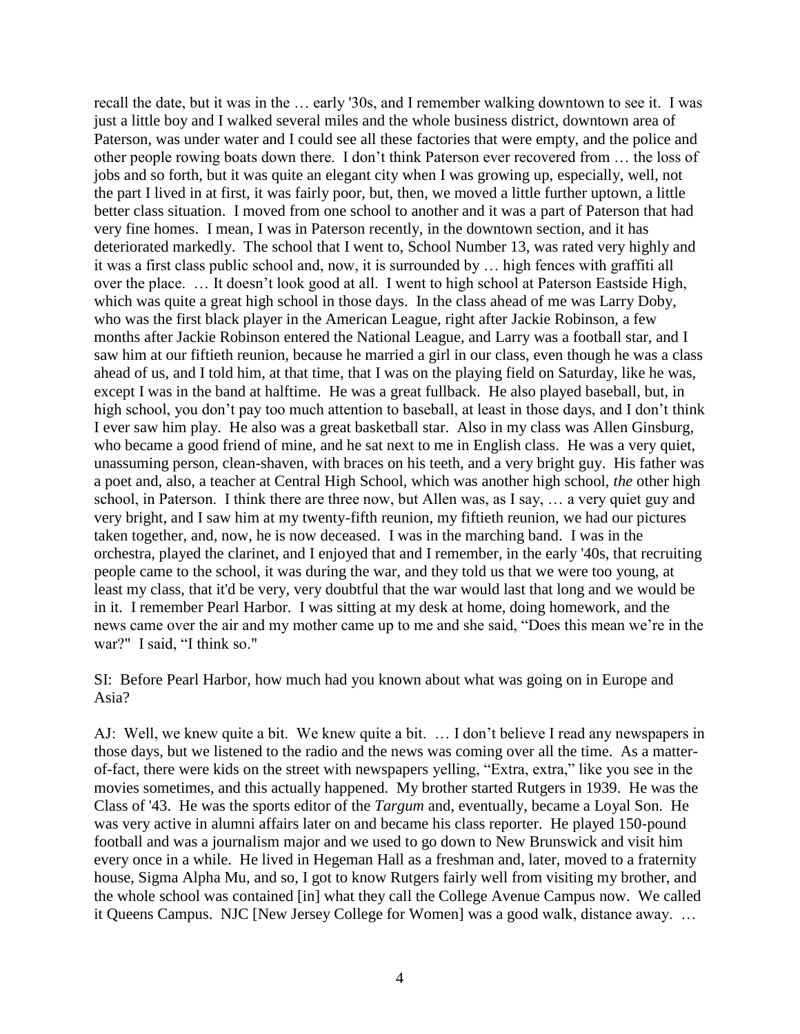recall the date, but it was in the … early '30s, and I remember walking downtown to see it. I was just a little boy and I walked several miles and the whole business district, downtown area of Paterson, was under water and I could see all these factories that were empty, and the police and other people rowing boats down there. I don't think Paterson ever recovered from … the loss of jobs and so forth, but it was quite an elegant city when I was growing up, especially, well, not the part I lived in at first, it was fairly poor, but, then, we moved a little further uptown, a little better class situation. I moved from one school to another and it was a part of Paterson that had very fine homes. I mean, I was in Paterson recently, in the downtown section, and it has deteriorated markedly. The school that I went to, School Number 13, was rated very highly and it was a first class public school and, now, it is surrounded by … high fences with graffiti all over the place. … It doesn't look good at all. I went to high school at Paterson Eastside High, which was quite a great high school in those days. In the class ahead of me was Larry Doby, who was the first black player in the American League, right after Jackie Robinson, a few months after Jackie Robinson entered the National League, and Larry was a football star, and I saw him at our fiftieth reunion, because he married a girl in our class, even though he was a class ahead of us, and I told him, at that time, that I was on the playing field on Saturday, like he was, except I was in the band at halftime. He was a great fullback. He also played baseball, but, in high school, you don't pay too much attention to baseball, at least in those days, and I don't think I ever saw him play. He also was a great basketball star. Also in my class was Allen Ginsburg, who became a good friend of mine, and he sat next to me in English class. He was a very quiet, unassuming person, clean-shaven, with braces on his teeth, and a very bright guy. His father was a poet and, also, a teacher at Central High School, which was another high school, *the* other high school, in Paterson. I think there are three now, but Allen was, as I say, … a very quiet guy and very bright, and I saw him at my twenty-fifth reunion, my fiftieth reunion, we had our pictures taken together, and, now, he is now deceased. I was in the marching band. I was in the orchestra, played the clarinet, and I enjoyed that and I remember, in the early '40s, that recruiting people came to the school, it was during the war, and they told us that we were too young, at least my class, that it'd be very, very doubtful that the war would last that long and we would be in it. I remember Pearl Harbor. I was sitting at my desk at home, doing homework, and the news came over the air and my mother came up to me and she said, "Does this mean we're in the war?" I said, "I think so."

SI: Before Pearl Harbor, how much had you known about what was going on in Europe and Asia?

AJ: Well, we knew quite a bit. We knew quite a bit. … I don't believe I read any newspapers in those days, but we listened to the radio and the news was coming over all the time. As a matterof-fact, there were kids on the street with newspapers yelling, "Extra, extra," like you see in the movies sometimes, and this actually happened. My brother started Rutgers in 1939. He was the Class of '43. He was the sports editor of the *Targum* and, eventually, became a Loyal Son. He was very active in alumni affairs later on and became his class reporter. He played 150-pound football and was a journalism major and we used to go down to New Brunswick and visit him every once in a while. He lived in Hegeman Hall as a freshman and, later, moved to a fraternity house, Sigma Alpha Mu, and so, I got to know Rutgers fairly well from visiting my brother, and the whole school was contained [in] what they call the College Avenue Campus now. We called it Queens Campus. NJC [New Jersey College for Women] was a good walk, distance away. …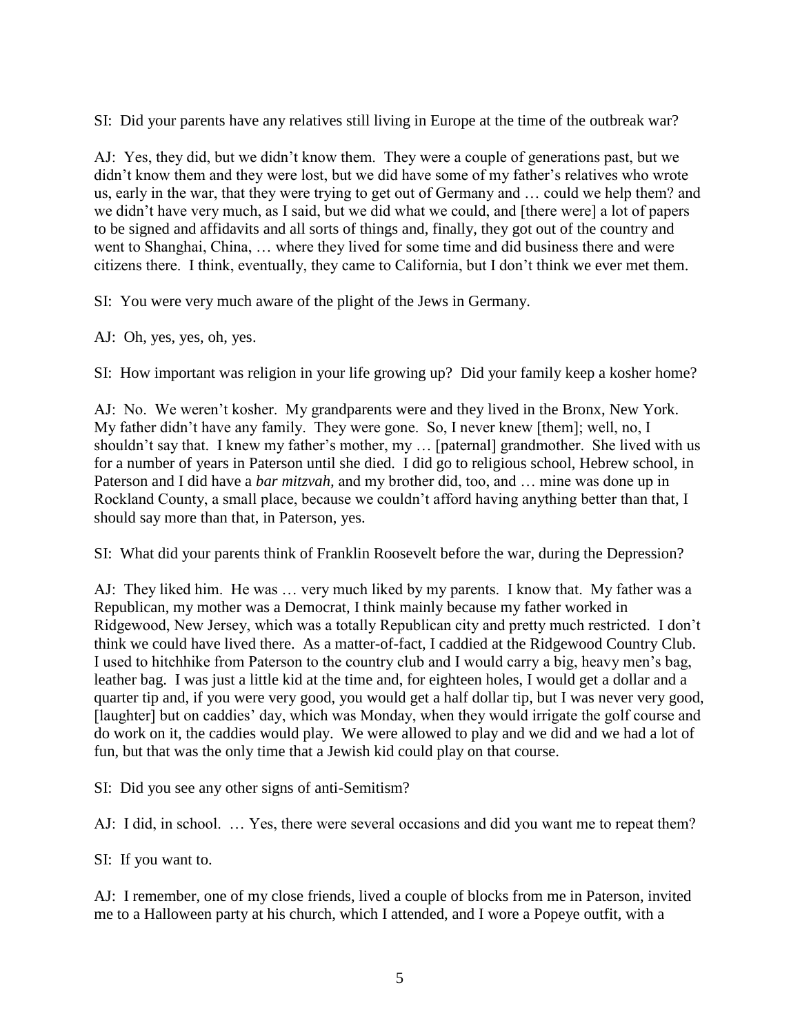SI: Did your parents have any relatives still living in Europe at the time of the outbreak war?

AJ: Yes, they did, but we didn't know them. They were a couple of generations past, but we didn't know them and they were lost, but we did have some of my father's relatives who wrote us, early in the war, that they were trying to get out of Germany and … could we help them? and we didn't have very much, as I said, but we did what we could, and [there were] a lot of papers to be signed and affidavits and all sorts of things and, finally, they got out of the country and went to Shanghai, China, … where they lived for some time and did business there and were citizens there. I think, eventually, they came to California, but I don't think we ever met them.

SI: You were very much aware of the plight of the Jews in Germany.

AJ: Oh, yes, yes, oh, yes.

SI: How important was religion in your life growing up? Did your family keep a kosher home?

AJ: No. We weren't kosher. My grandparents were and they lived in the Bronx, New York. My father didn't have any family. They were gone. So, I never knew [them]; well, no, I shouldn't say that. I knew my father's mother, my … [paternal] grandmother. She lived with us for a number of years in Paterson until she died. I did go to religious school, Hebrew school, in Paterson and I did have a *bar mitzvah,* and my brother did, too, and … mine was done up in Rockland County, a small place, because we couldn't afford having anything better than that, I should say more than that, in Paterson, yes.

SI: What did your parents think of Franklin Roosevelt before the war, during the Depression?

AJ: They liked him. He was … very much liked by my parents. I know that. My father was a Republican, my mother was a Democrat, I think mainly because my father worked in Ridgewood, New Jersey, which was a totally Republican city and pretty much restricted. I don't think we could have lived there. As a matter-of-fact, I caddied at the Ridgewood Country Club. I used to hitchhike from Paterson to the country club and I would carry a big, heavy men's bag, leather bag. I was just a little kid at the time and, for eighteen holes, I would get a dollar and a quarter tip and, if you were very good, you would get a half dollar tip, but I was never very good, [laughter] but on caddies' day, which was Monday, when they would irrigate the golf course and do work on it, the caddies would play. We were allowed to play and we did and we had a lot of fun, but that was the only time that a Jewish kid could play on that course.

SI: Did you see any other signs of anti-Semitism?

AJ: I did, in school. … Yes, there were several occasions and did you want me to repeat them?

SI: If you want to.

AJ: I remember, one of my close friends, lived a couple of blocks from me in Paterson, invited me to a Halloween party at his church, which I attended, and I wore a Popeye outfit, with a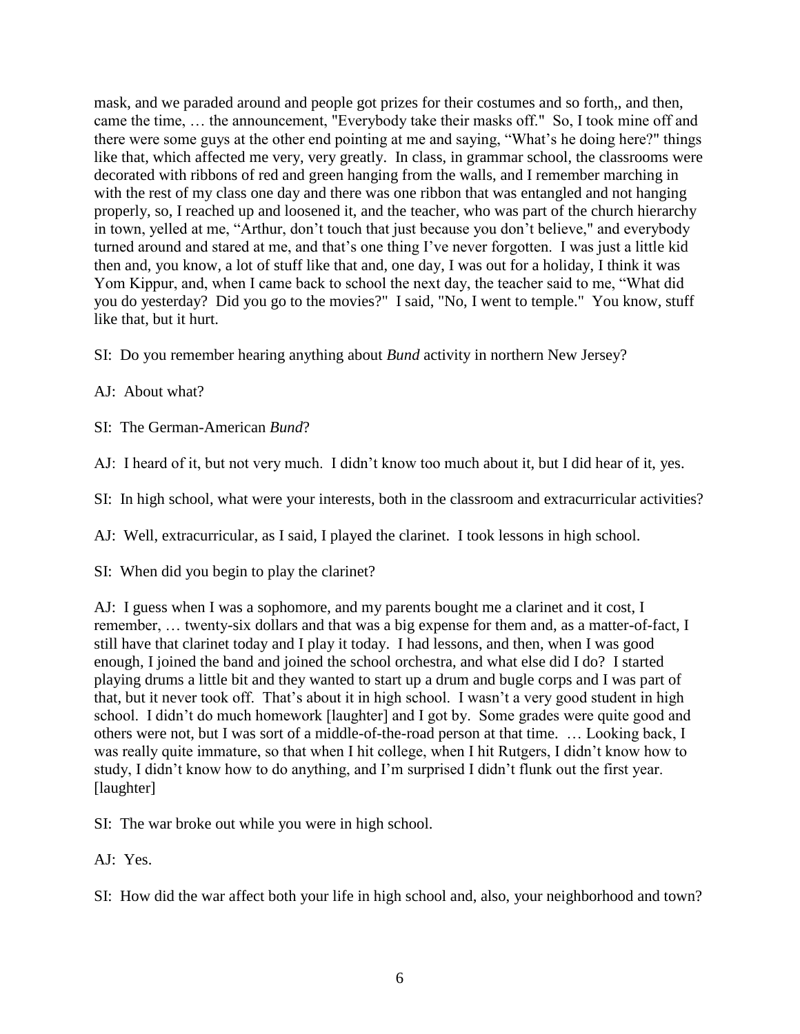mask, and we paraded around and people got prizes for their costumes and so forth,, and then, came the time, … the announcement, "Everybody take their masks off." So, I took mine off and there were some guys at the other end pointing at me and saying, "What's he doing here?" things like that, which affected me very, very greatly. In class, in grammar school, the classrooms were decorated with ribbons of red and green hanging from the walls, and I remember marching in with the rest of my class one day and there was one ribbon that was entangled and not hanging properly, so, I reached up and loosened it, and the teacher, who was part of the church hierarchy in town, yelled at me, "Arthur, don't touch that just because you don't believe," and everybody turned around and stared at me, and that's one thing I've never forgotten. I was just a little kid then and, you know, a lot of stuff like that and, one day, I was out for a holiday, I think it was Yom Kippur, and, when I came back to school the next day, the teacher said to me, "What did you do yesterday? Did you go to the movies?" I said, "No, I went to temple." You know, stuff like that, but it hurt.

- SI: Do you remember hearing anything about *Bund* activity in northern New Jersey?
- AJ: About what?
- SI: The German-American *Bund*?
- AJ: I heard of it, but not very much. I didn't know too much about it, but I did hear of it, yes.
- SI: In high school, what were your interests, both in the classroom and extracurricular activities?
- AJ: Well, extracurricular, as I said, I played the clarinet. I took lessons in high school.
- SI: When did you begin to play the clarinet?

AJ: I guess when I was a sophomore, and my parents bought me a clarinet and it cost, I remember, … twenty-six dollars and that was a big expense for them and, as a matter-of-fact, I still have that clarinet today and I play it today. I had lessons, and then, when I was good enough, I joined the band and joined the school orchestra, and what else did I do? I started playing drums a little bit and they wanted to start up a drum and bugle corps and I was part of that, but it never took off. That's about it in high school. I wasn't a very good student in high school. I didn't do much homework [laughter] and I got by. Some grades were quite good and others were not, but I was sort of a middle-of-the-road person at that time. … Looking back, I was really quite immature, so that when I hit college, when I hit Rutgers, I didn't know how to study, I didn't know how to do anything, and I'm surprised I didn't flunk out the first year. [laughter]

- SI: The war broke out while you were in high school.
- AJ: Yes.

SI: How did the war affect both your life in high school and, also, your neighborhood and town?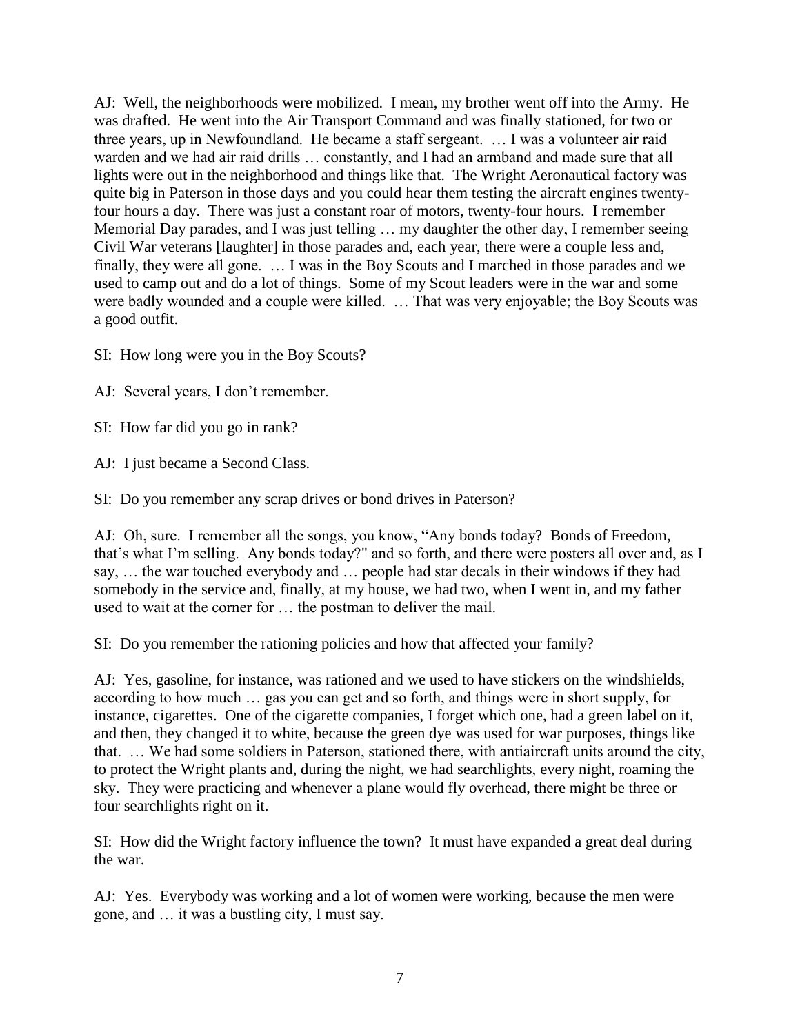AJ: Well, the neighborhoods were mobilized. I mean, my brother went off into the Army. He was drafted. He went into the Air Transport Command and was finally stationed, for two or three years, up in Newfoundland. He became a staff sergeant. … I was a volunteer air raid warden and we had air raid drills ... constantly, and I had an armband and made sure that all lights were out in the neighborhood and things like that. The Wright Aeronautical factory was quite big in Paterson in those days and you could hear them testing the aircraft engines twentyfour hours a day. There was just a constant roar of motors, twenty-four hours. I remember Memorial Day parades, and I was just telling … my daughter the other day, I remember seeing Civil War veterans [laughter] in those parades and, each year, there were a couple less and, finally, they were all gone. … I was in the Boy Scouts and I marched in those parades and we used to camp out and do a lot of things. Some of my Scout leaders were in the war and some were badly wounded and a couple were killed. … That was very enjoyable; the Boy Scouts was a good outfit.

SI: How long were you in the Boy Scouts?

AJ: Several years, I don't remember.

SI: How far did you go in rank?

AJ: I just became a Second Class.

SI: Do you remember any scrap drives or bond drives in Paterson?

AJ: Oh, sure. I remember all the songs, you know, "Any bonds today? Bonds of Freedom, that's what I'm selling. Any bonds today?" and so forth, and there were posters all over and, as I say, … the war touched everybody and … people had star decals in their windows if they had somebody in the service and, finally, at my house, we had two, when I went in, and my father used to wait at the corner for … the postman to deliver the mail.

SI: Do you remember the rationing policies and how that affected your family?

AJ: Yes, gasoline, for instance, was rationed and we used to have stickers on the windshields, according to how much … gas you can get and so forth, and things were in short supply, for instance, cigarettes. One of the cigarette companies, I forget which one, had a green label on it, and then, they changed it to white, because the green dye was used for war purposes, things like that. … We had some soldiers in Paterson, stationed there, with antiaircraft units around the city, to protect the Wright plants and, during the night, we had searchlights, every night, roaming the sky. They were practicing and whenever a plane would fly overhead, there might be three or four searchlights right on it.

SI: How did the Wright factory influence the town? It must have expanded a great deal during the war.

AJ: Yes. Everybody was working and a lot of women were working, because the men were gone, and … it was a bustling city, I must say.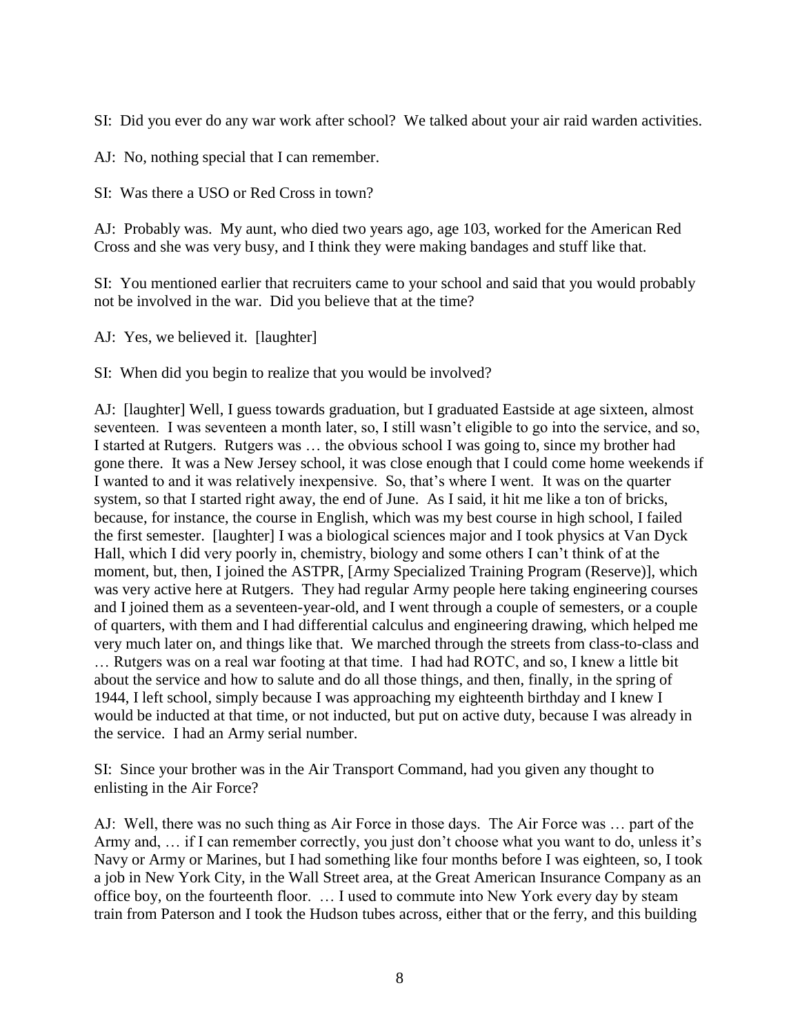SI: Did you ever do any war work after school? We talked about your air raid warden activities.

AJ: No, nothing special that I can remember.

SI: Was there a USO or Red Cross in town?

AJ: Probably was. My aunt, who died two years ago, age 103, worked for the American Red Cross and she was very busy, and I think they were making bandages and stuff like that.

SI: You mentioned earlier that recruiters came to your school and said that you would probably not be involved in the war. Did you believe that at the time?

AJ: Yes, we believed it. [laughter]

SI: When did you begin to realize that you would be involved?

AJ: [laughter] Well, I guess towards graduation, but I graduated Eastside at age sixteen, almost seventeen. I was seventeen a month later, so, I still wasn't eligible to go into the service, and so, I started at Rutgers. Rutgers was … the obvious school I was going to, since my brother had gone there. It was a New Jersey school, it was close enough that I could come home weekends if I wanted to and it was relatively inexpensive. So, that's where I went. It was on the quarter system, so that I started right away, the end of June. As I said, it hit me like a ton of bricks, because, for instance, the course in English, which was my best course in high school, I failed the first semester. [laughter] I was a biological sciences major and I took physics at Van Dyck Hall, which I did very poorly in, chemistry, biology and some others I can't think of at the moment, but, then, I joined the ASTPR, [Army Specialized Training Program (Reserve)], which was very active here at Rutgers. They had regular Army people here taking engineering courses and I joined them as a seventeen-year-old, and I went through a couple of semesters, or a couple of quarters, with them and I had differential calculus and engineering drawing, which helped me very much later on, and things like that. We marched through the streets from class-to-class and … Rutgers was on a real war footing at that time. I had had ROTC, and so, I knew a little bit about the service and how to salute and do all those things, and then, finally, in the spring of 1944, I left school, simply because I was approaching my eighteenth birthday and I knew I would be inducted at that time, or not inducted, but put on active duty, because I was already in the service. I had an Army serial number.

SI: Since your brother was in the Air Transport Command, had you given any thought to enlisting in the Air Force?

AJ: Well, there was no such thing as Air Force in those days. The Air Force was … part of the Army and, ... if I can remember correctly, you just don't choose what you want to do, unless it's Navy or Army or Marines, but I had something like four months before I was eighteen, so, I took a job in New York City, in the Wall Street area, at the Great American Insurance Company as an office boy, on the fourteenth floor. … I used to commute into New York every day by steam train from Paterson and I took the Hudson tubes across, either that or the ferry, and this building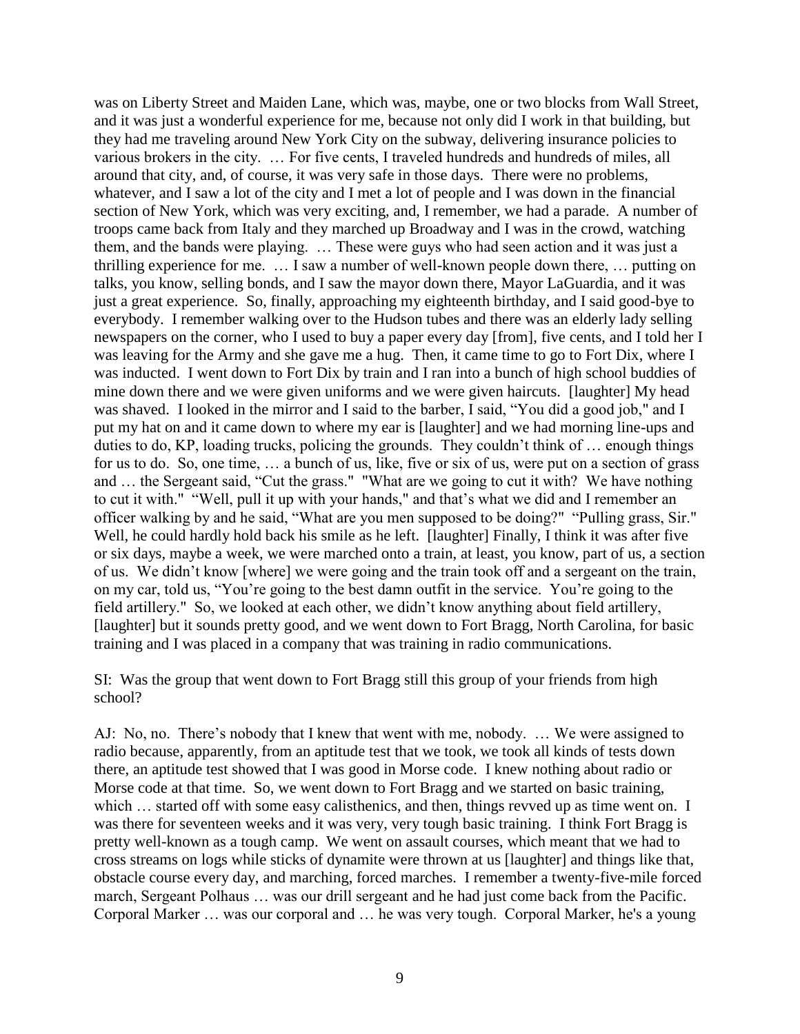was on Liberty Street and Maiden Lane, which was, maybe, one or two blocks from Wall Street, and it was just a wonderful experience for me, because not only did I work in that building, but they had me traveling around New York City on the subway, delivering insurance policies to various brokers in the city. … For five cents, I traveled hundreds and hundreds of miles, all around that city, and, of course, it was very safe in those days. There were no problems, whatever, and I saw a lot of the city and I met a lot of people and I was down in the financial section of New York, which was very exciting, and, I remember, we had a parade. A number of troops came back from Italy and they marched up Broadway and I was in the crowd, watching them, and the bands were playing. … These were guys who had seen action and it was just a thrilling experience for me. … I saw a number of well-known people down there, … putting on talks, you know, selling bonds, and I saw the mayor down there, Mayor LaGuardia, and it was just a great experience. So, finally, approaching my eighteenth birthday, and I said good-bye to everybody. I remember walking over to the Hudson tubes and there was an elderly lady selling newspapers on the corner, who I used to buy a paper every day [from], five cents, and I told her I was leaving for the Army and she gave me a hug. Then, it came time to go to Fort Dix, where I was inducted. I went down to Fort Dix by train and I ran into a bunch of high school buddies of mine down there and we were given uniforms and we were given haircuts. [laughter] My head was shaved. I looked in the mirror and I said to the barber, I said, "You did a good job," and I put my hat on and it came down to where my ear is [laughter] and we had morning line-ups and duties to do, KP, loading trucks, policing the grounds. They couldn't think of … enough things for us to do. So, one time, … a bunch of us, like, five or six of us, were put on a section of grass and … the Sergeant said, "Cut the grass." "What are we going to cut it with? We have nothing to cut it with." "Well, pull it up with your hands," and that's what we did and I remember an officer walking by and he said, "What are you men supposed to be doing?" "Pulling grass, Sir." Well, he could hardly hold back his smile as he left. [laughter] Finally, I think it was after five or six days, maybe a week, we were marched onto a train, at least, you know, part of us, a section of us. We didn't know [where] we were going and the train took off and a sergeant on the train, on my car, told us, "You're going to the best damn outfit in the service. You're going to the field artillery." So, we looked at each other, we didn't know anything about field artillery, [laughter] but it sounds pretty good, and we went down to Fort Bragg, North Carolina, for basic training and I was placed in a company that was training in radio communications.

SI: Was the group that went down to Fort Bragg still this group of your friends from high school?

AJ: No, no. There's nobody that I knew that went with me, nobody. … We were assigned to radio because, apparently, from an aptitude test that we took, we took all kinds of tests down there, an aptitude test showed that I was good in Morse code. I knew nothing about radio or Morse code at that time. So, we went down to Fort Bragg and we started on basic training, which ... started off with some easy calisthenics, and then, things revved up as time went on. I was there for seventeen weeks and it was very, very tough basic training. I think Fort Bragg is pretty well-known as a tough camp. We went on assault courses, which meant that we had to cross streams on logs while sticks of dynamite were thrown at us [laughter] and things like that, obstacle course every day, and marching, forced marches. I remember a twenty-five-mile forced march, Sergeant Polhaus … was our drill sergeant and he had just come back from the Pacific. Corporal Marker … was our corporal and … he was very tough. Corporal Marker, he's a young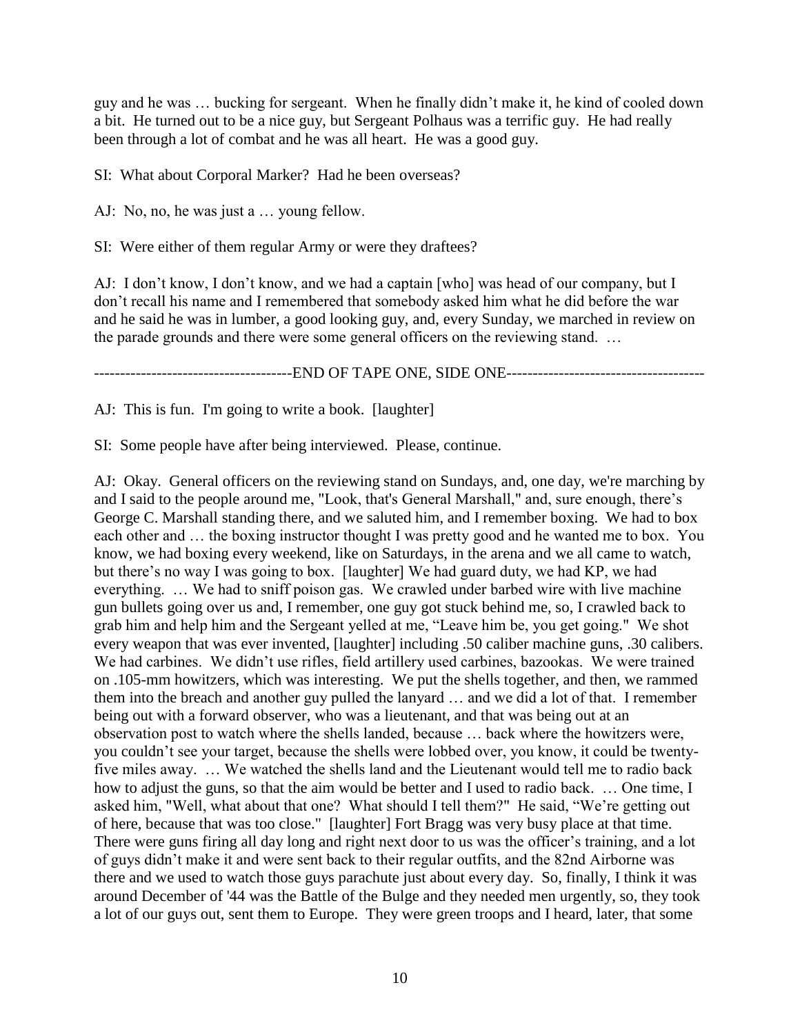guy and he was … bucking for sergeant. When he finally didn't make it, he kind of cooled down a bit. He turned out to be a nice guy, but Sergeant Polhaus was a terrific guy. He had really been through a lot of combat and he was all heart. He was a good guy.

SI: What about Corporal Marker? Had he been overseas?

AJ: No, no, he was just a … young fellow.

SI: Were either of them regular Army or were they draftees?

AJ: I don't know, I don't know, and we had a captain [who] was head of our company, but I don't recall his name and I remembered that somebody asked him what he did before the war and he said he was in lumber, a good looking guy, and, every Sunday, we marched in review on the parade grounds and there were some general officers on the reviewing stand. …

----------------------------END OF TAPE ONE, SIDE ONE-----------------------------

AJ: This is fun. I'm going to write a book. [laughter]

SI: Some people have after being interviewed. Please, continue.

AJ: Okay. General officers on the reviewing stand on Sundays, and, one day, we're marching by and I said to the people around me, "Look, that's General Marshall," and, sure enough, there's George C. Marshall standing there, and we saluted him, and I remember boxing. We had to box each other and … the boxing instructor thought I was pretty good and he wanted me to box. You know, we had boxing every weekend, like on Saturdays, in the arena and we all came to watch, but there's no way I was going to box. [laughter] We had guard duty, we had KP, we had everything. … We had to sniff poison gas. We crawled under barbed wire with live machine gun bullets going over us and, I remember, one guy got stuck behind me, so, I crawled back to grab him and help him and the Sergeant yelled at me, "Leave him be, you get going." We shot every weapon that was ever invented, [laughter] including .50 caliber machine guns, .30 calibers. We had carbines. We didn't use rifles, field artillery used carbines, bazookas. We were trained on .105-mm howitzers, which was interesting. We put the shells together, and then, we rammed them into the breach and another guy pulled the lanyard … and we did a lot of that. I remember being out with a forward observer, who was a lieutenant, and that was being out at an observation post to watch where the shells landed, because … back where the howitzers were, you couldn't see your target, because the shells were lobbed over, you know, it could be twentyfive miles away. … We watched the shells land and the Lieutenant would tell me to radio back how to adjust the guns, so that the aim would be better and I used to radio back. … One time, I asked him, "Well, what about that one? What should I tell them?" He said, "We're getting out of here, because that was too close." [laughter] Fort Bragg was very busy place at that time. There were guns firing all day long and right next door to us was the officer's training, and a lot of guys didn't make it and were sent back to their regular outfits, and the 82nd Airborne was there and we used to watch those guys parachute just about every day. So, finally, I think it was around December of '44 was the Battle of the Bulge and they needed men urgently, so, they took a lot of our guys out, sent them to Europe. They were green troops and I heard, later, that some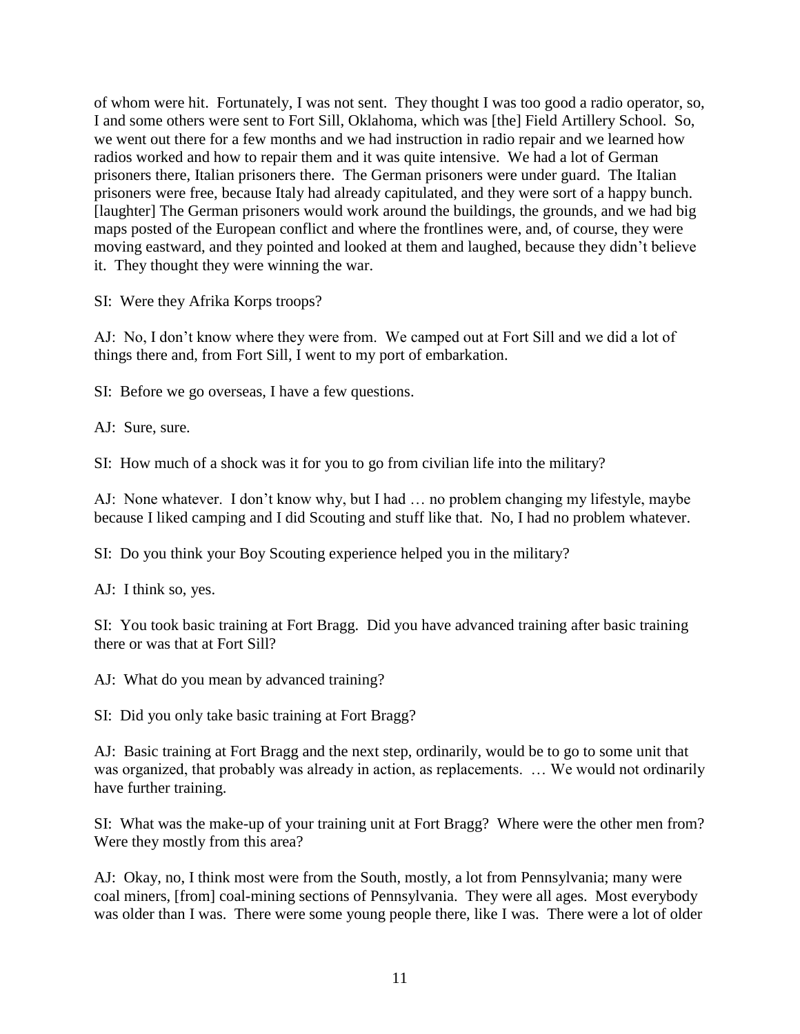of whom were hit. Fortunately, I was not sent. They thought I was too good a radio operator, so, I and some others were sent to Fort Sill, Oklahoma, which was [the] Field Artillery School. So, we went out there for a few months and we had instruction in radio repair and we learned how radios worked and how to repair them and it was quite intensive. We had a lot of German prisoners there, Italian prisoners there. The German prisoners were under guard. The Italian prisoners were free, because Italy had already capitulated, and they were sort of a happy bunch. [laughter] The German prisoners would work around the buildings, the grounds, and we had big maps posted of the European conflict and where the frontlines were, and, of course, they were moving eastward, and they pointed and looked at them and laughed, because they didn't believe it. They thought they were winning the war.

SI: Were they Afrika Korps troops?

AJ: No, I don't know where they were from. We camped out at Fort Sill and we did a lot of things there and, from Fort Sill, I went to my port of embarkation.

SI: Before we go overseas, I have a few questions.

AJ: Sure, sure.

SI: How much of a shock was it for you to go from civilian life into the military?

AJ: None whatever. I don't know why, but I had … no problem changing my lifestyle, maybe because I liked camping and I did Scouting and stuff like that. No, I had no problem whatever.

SI: Do you think your Boy Scouting experience helped you in the military?

AJ: I think so, yes.

SI: You took basic training at Fort Bragg. Did you have advanced training after basic training there or was that at Fort Sill?

AJ: What do you mean by advanced training?

SI: Did you only take basic training at Fort Bragg?

AJ: Basic training at Fort Bragg and the next step, ordinarily, would be to go to some unit that was organized, that probably was already in action, as replacements. ... We would not ordinarily have further training.

SI: What was the make-up of your training unit at Fort Bragg? Where were the other men from? Were they mostly from this area?

AJ: Okay, no, I think most were from the South, mostly, a lot from Pennsylvania; many were coal miners, [from] coal-mining sections of Pennsylvania. They were all ages. Most everybody was older than I was. There were some young people there, like I was. There were a lot of older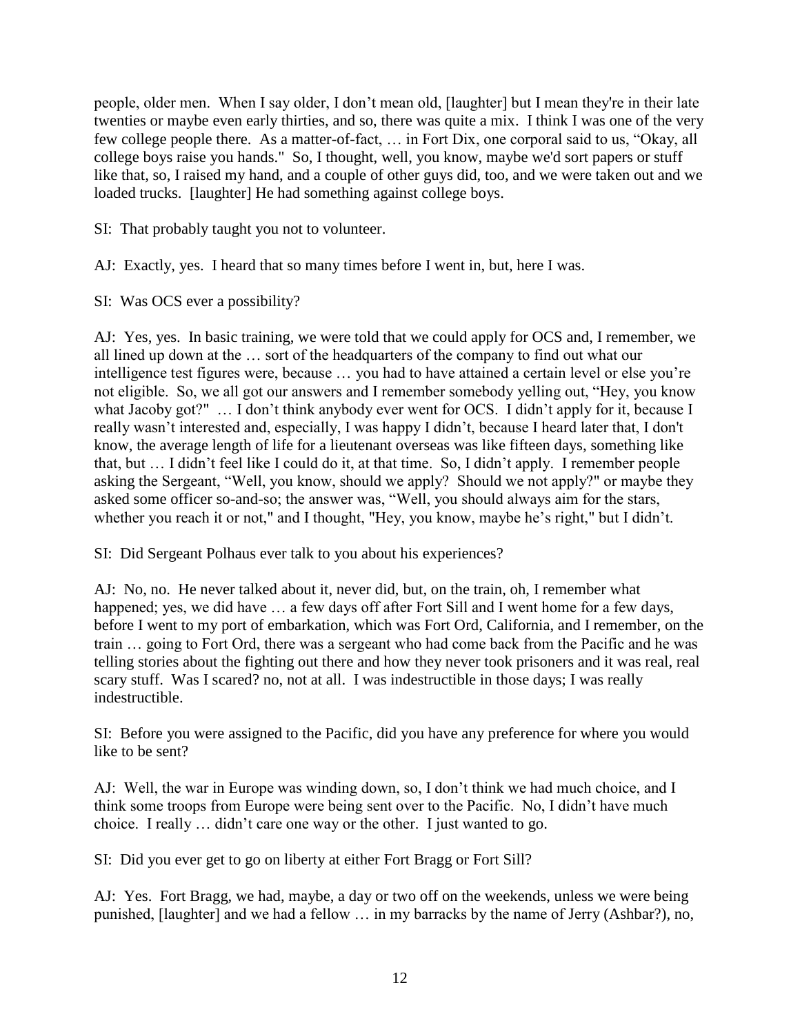people, older men. When I say older, I don't mean old, [laughter] but I mean they're in their late twenties or maybe even early thirties, and so, there was quite a mix. I think I was one of the very few college people there. As a matter-of-fact, … in Fort Dix, one corporal said to us, "Okay, all college boys raise you hands." So, I thought, well, you know, maybe we'd sort papers or stuff like that, so, I raised my hand, and a couple of other guys did, too, and we were taken out and we loaded trucks. [laughter] He had something against college boys.

SI: That probably taught you not to volunteer.

AJ: Exactly, yes. I heard that so many times before I went in, but, here I was.

SI: Was OCS ever a possibility?

AJ: Yes, yes. In basic training, we were told that we could apply for OCS and, I remember, we all lined up down at the … sort of the headquarters of the company to find out what our intelligence test figures were, because … you had to have attained a certain level or else you're not eligible. So, we all got our answers and I remember somebody yelling out, "Hey, you know what Jacoby got?" ... I don't think anybody ever went for OCS. I didn't apply for it, because I really wasn't interested and, especially, I was happy I didn't, because I heard later that, I don't know, the average length of life for a lieutenant overseas was like fifteen days, something like that, but … I didn't feel like I could do it, at that time. So, I didn't apply. I remember people asking the Sergeant, "Well, you know, should we apply? Should we not apply?" or maybe they asked some officer so-and-so; the answer was, "Well, you should always aim for the stars, whether you reach it or not," and I thought, "Hey, you know, maybe he's right," but I didn't.

SI: Did Sergeant Polhaus ever talk to you about his experiences?

AJ: No, no. He never talked about it, never did, but, on the train, oh, I remember what happened; yes, we did have ... a few days off after Fort Sill and I went home for a few days, before I went to my port of embarkation, which was Fort Ord, California, and I remember, on the train … going to Fort Ord, there was a sergeant who had come back from the Pacific and he was telling stories about the fighting out there and how they never took prisoners and it was real, real scary stuff. Was I scared? no, not at all. I was indestructible in those days; I was really indestructible.

SI: Before you were assigned to the Pacific, did you have any preference for where you would like to be sent?

AJ: Well, the war in Europe was winding down, so, I don't think we had much choice, and I think some troops from Europe were being sent over to the Pacific. No, I didn't have much choice. I really … didn't care one way or the other. I just wanted to go.

SI: Did you ever get to go on liberty at either Fort Bragg or Fort Sill?

AJ: Yes. Fort Bragg, we had, maybe, a day or two off on the weekends, unless we were being punished, [laughter] and we had a fellow … in my barracks by the name of Jerry (Ashbar?), no,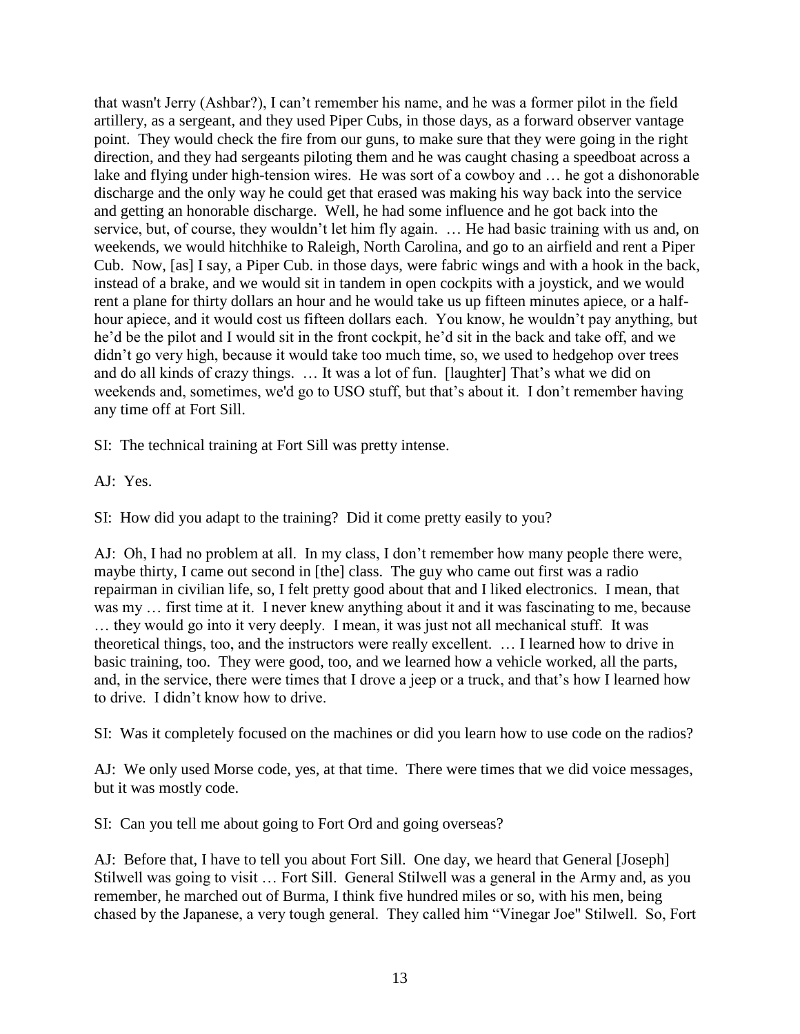that wasn't Jerry (Ashbar?), I can't remember his name, and he was a former pilot in the field artillery, as a sergeant, and they used Piper Cubs, in those days, as a forward observer vantage point. They would check the fire from our guns, to make sure that they were going in the right direction, and they had sergeants piloting them and he was caught chasing a speedboat across a lake and flying under high-tension wires. He was sort of a cowboy and … he got a dishonorable discharge and the only way he could get that erased was making his way back into the service and getting an honorable discharge. Well, he had some influence and he got back into the service, but, of course, they wouldn't let him fly again. … He had basic training with us and, on weekends, we would hitchhike to Raleigh, North Carolina, and go to an airfield and rent a Piper Cub. Now, [as] I say, a Piper Cub. in those days, were fabric wings and with a hook in the back, instead of a brake, and we would sit in tandem in open cockpits with a joystick, and we would rent a plane for thirty dollars an hour and he would take us up fifteen minutes apiece, or a halfhour apiece, and it would cost us fifteen dollars each. You know, he wouldn't pay anything, but he'd be the pilot and I would sit in the front cockpit, he'd sit in the back and take off, and we didn't go very high, because it would take too much time, so, we used to hedgehop over trees and do all kinds of crazy things. … It was a lot of fun. [laughter] That's what we did on weekends and, sometimes, we'd go to USO stuff, but that's about it. I don't remember having any time off at Fort Sill.

SI: The technical training at Fort Sill was pretty intense.

AJ: Yes.

SI: How did you adapt to the training? Did it come pretty easily to you?

AJ: Oh, I had no problem at all. In my class, I don't remember how many people there were, maybe thirty, I came out second in [the] class. The guy who came out first was a radio repairman in civilian life, so, I felt pretty good about that and I liked electronics. I mean, that was my … first time at it. I never knew anything about it and it was fascinating to me, because … they would go into it very deeply. I mean, it was just not all mechanical stuff. It was theoretical things, too, and the instructors were really excellent. … I learned how to drive in basic training, too. They were good, too, and we learned how a vehicle worked, all the parts, and, in the service, there were times that I drove a jeep or a truck, and that's how I learned how to drive. I didn't know how to drive.

SI: Was it completely focused on the machines or did you learn how to use code on the radios?

AJ: We only used Morse code, yes, at that time. There were times that we did voice messages, but it was mostly code.

SI: Can you tell me about going to Fort Ord and going overseas?

AJ: Before that, I have to tell you about Fort Sill. One day, we heard that General [Joseph] Stilwell was going to visit … Fort Sill. General Stilwell was a general in the Army and, as you remember, he marched out of Burma, I think five hundred miles or so, with his men, being chased by the Japanese, a very tough general. They called him "Vinegar Joe" Stilwell. So, Fort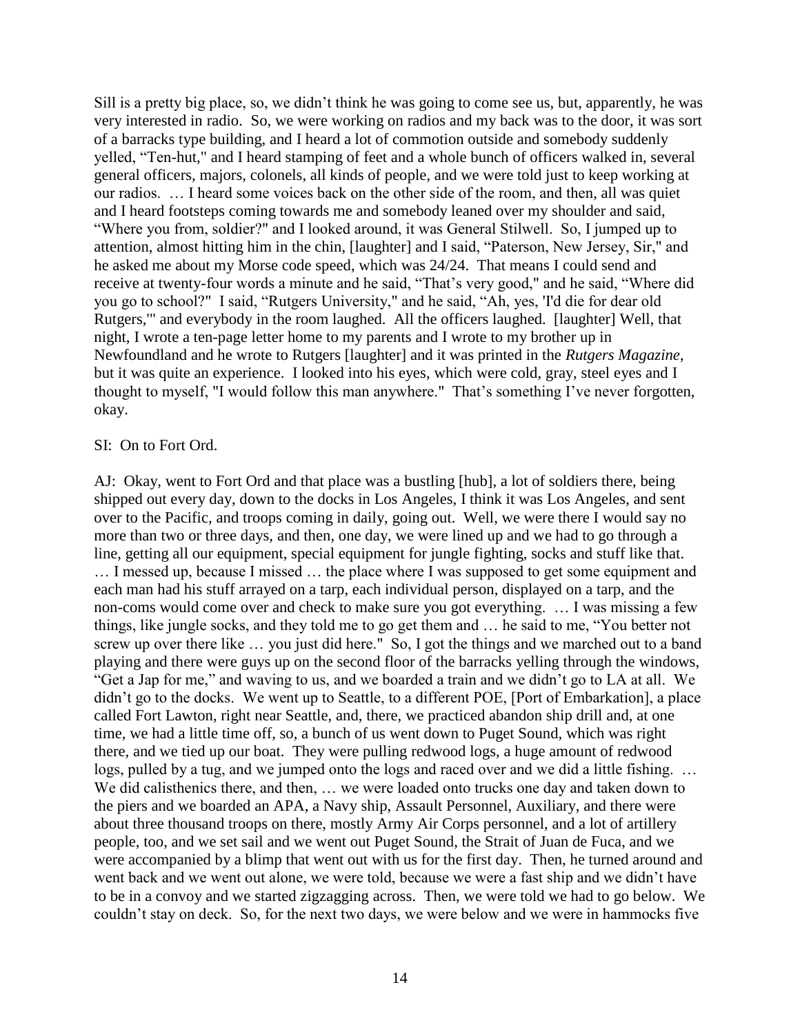Sill is a pretty big place, so, we didn't think he was going to come see us, but, apparently, he was very interested in radio. So, we were working on radios and my back was to the door, it was sort of a barracks type building, and I heard a lot of commotion outside and somebody suddenly yelled, "Ten-hut," and I heard stamping of feet and a whole bunch of officers walked in, several general officers, majors, colonels, all kinds of people, and we were told just to keep working at our radios. … I heard some voices back on the other side of the room, and then, all was quiet and I heard footsteps coming towards me and somebody leaned over my shoulder and said, "Where you from, soldier?" and I looked around, it was General Stilwell. So, I jumped up to attention, almost hitting him in the chin, [laughter] and I said, "Paterson, New Jersey, Sir," and he asked me about my Morse code speed, which was 24/24. That means I could send and receive at twenty-four words a minute and he said, "That's very good," and he said, "Where did you go to school?" I said, "Rutgers University," and he said, "Ah, yes, 'I'd die for dear old Rutgers,'" and everybody in the room laughed. All the officers laughed. [laughter] Well, that night, I wrote a ten-page letter home to my parents and I wrote to my brother up in Newfoundland and he wrote to Rutgers [laughter] and it was printed in the *Rutgers Magazine*, but it was quite an experience. I looked into his eyes, which were cold, gray, steel eyes and I thought to myself, "I would follow this man anywhere." That's something I've never forgotten, okay.

#### SI: On to Fort Ord.

AJ: Okay, went to Fort Ord and that place was a bustling [hub], a lot of soldiers there, being shipped out every day, down to the docks in Los Angeles, I think it was Los Angeles, and sent over to the Pacific, and troops coming in daily, going out. Well, we were there I would say no more than two or three days, and then, one day, we were lined up and we had to go through a line, getting all our equipment, special equipment for jungle fighting, socks and stuff like that. … I messed up, because I missed … the place where I was supposed to get some equipment and each man had his stuff arrayed on a tarp, each individual person, displayed on a tarp, and the non-coms would come over and check to make sure you got everything. … I was missing a few things, like jungle socks, and they told me to go get them and … he said to me, "You better not screw up over there like … you just did here." So, I got the things and we marched out to a band playing and there were guys up on the second floor of the barracks yelling through the windows, "Get a Jap for me," and waving to us, and we boarded a train and we didn't go to LA at all. We didn't go to the docks. We went up to Seattle, to a different POE, [Port of Embarkation], a place called Fort Lawton, right near Seattle, and, there, we practiced abandon ship drill and, at one time, we had a little time off, so, a bunch of us went down to Puget Sound, which was right there, and we tied up our boat. They were pulling redwood logs, a huge amount of redwood logs, pulled by a tug, and we jumped onto the logs and raced over and we did a little fishing. … We did calisthenics there, and then, … we were loaded onto trucks one day and taken down to the piers and we boarded an APA, a Navy ship, Assault Personnel, Auxiliary, and there were about three thousand troops on there, mostly Army Air Corps personnel, and a lot of artillery people, too, and we set sail and we went out Puget Sound, the Strait of Juan de Fuca, and we were accompanied by a blimp that went out with us for the first day. Then, he turned around and went back and we went out alone, we were told, because we were a fast ship and we didn't have to be in a convoy and we started zigzagging across. Then, we were told we had to go below. We couldn't stay on deck. So, for the next two days, we were below and we were in hammocks five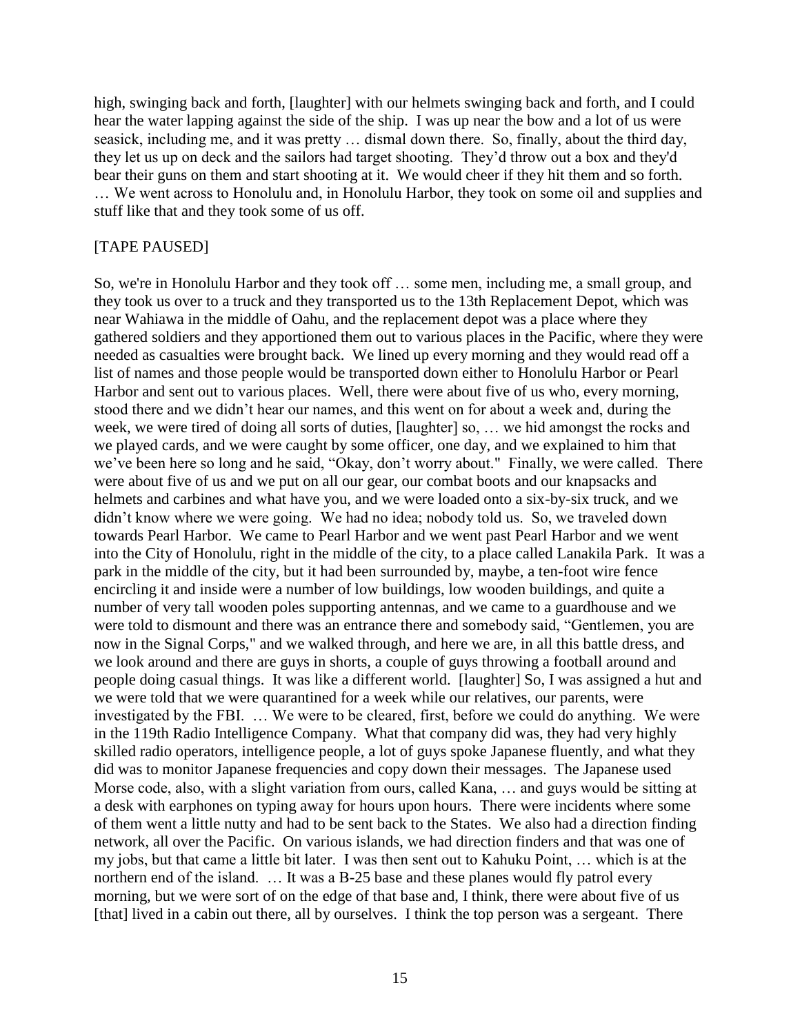high, swinging back and forth, [laughter] with our helmets swinging back and forth, and I could hear the water lapping against the side of the ship. I was up near the bow and a lot of us were seasick, including me, and it was pretty … dismal down there. So, finally, about the third day, they let us up on deck and the sailors had target shooting. They'd throw out a box and they'd bear their guns on them and start shooting at it. We would cheer if they hit them and so forth. … We went across to Honolulu and, in Honolulu Harbor, they took on some oil and supplies and stuff like that and they took some of us off.

#### [TAPE PAUSED]

So, we're in Honolulu Harbor and they took off … some men, including me, a small group, and they took us over to a truck and they transported us to the 13th Replacement Depot, which was near Wahiawa in the middle of Oahu, and the replacement depot was a place where they gathered soldiers and they apportioned them out to various places in the Pacific, where they were needed as casualties were brought back. We lined up every morning and they would read off a list of names and those people would be transported down either to Honolulu Harbor or Pearl Harbor and sent out to various places. Well, there were about five of us who, every morning, stood there and we didn't hear our names, and this went on for about a week and, during the week, we were tired of doing all sorts of duties, [laughter] so, … we hid amongst the rocks and we played cards, and we were caught by some officer, one day, and we explained to him that we've been here so long and he said, "Okay, don't worry about." Finally, we were called. There were about five of us and we put on all our gear, our combat boots and our knapsacks and helmets and carbines and what have you, and we were loaded onto a six-by-six truck, and we didn't know where we were going. We had no idea; nobody told us. So, we traveled down towards Pearl Harbor. We came to Pearl Harbor and we went past Pearl Harbor and we went into the City of Honolulu, right in the middle of the city, to a place called Lanakila Park. It was a park in the middle of the city, but it had been surrounded by, maybe, a ten-foot wire fence encircling it and inside were a number of low buildings, low wooden buildings, and quite a number of very tall wooden poles supporting antennas, and we came to a guardhouse and we were told to dismount and there was an entrance there and somebody said, "Gentlemen, you are now in the Signal Corps," and we walked through, and here we are, in all this battle dress, and we look around and there are guys in shorts, a couple of guys throwing a football around and people doing casual things. It was like a different world. [laughter] So, I was assigned a hut and we were told that we were quarantined for a week while our relatives, our parents, were investigated by the FBI. … We were to be cleared, first, before we could do anything. We were in the 119th Radio Intelligence Company. What that company did was, they had very highly skilled radio operators, intelligence people, a lot of guys spoke Japanese fluently, and what they did was to monitor Japanese frequencies and copy down their messages. The Japanese used Morse code, also, with a slight variation from ours, called Kana, … and guys would be sitting at a desk with earphones on typing away for hours upon hours. There were incidents where some of them went a little nutty and had to be sent back to the States. We also had a direction finding network, all over the Pacific. On various islands, we had direction finders and that was one of my jobs, but that came a little bit later. I was then sent out to Kahuku Point, … which is at the northern end of the island. ... It was a B-25 base and these planes would fly patrol every morning, but we were sort of on the edge of that base and, I think, there were about five of us [that] lived in a cabin out there, all by ourselves. I think the top person was a sergeant. There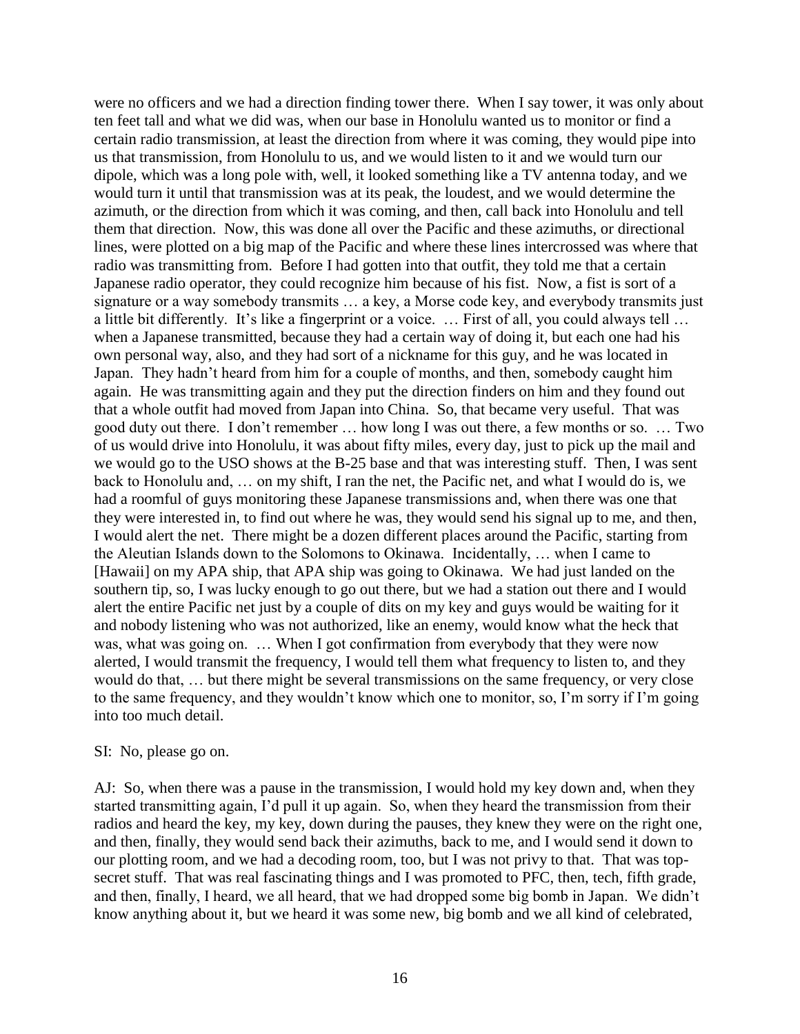were no officers and we had a direction finding tower there. When I say tower, it was only about ten feet tall and what we did was, when our base in Honolulu wanted us to monitor or find a certain radio transmission, at least the direction from where it was coming, they would pipe into us that transmission, from Honolulu to us, and we would listen to it and we would turn our dipole, which was a long pole with, well, it looked something like a TV antenna today, and we would turn it until that transmission was at its peak, the loudest, and we would determine the azimuth, or the direction from which it was coming, and then, call back into Honolulu and tell them that direction. Now, this was done all over the Pacific and these azimuths, or directional lines, were plotted on a big map of the Pacific and where these lines intercrossed was where that radio was transmitting from. Before I had gotten into that outfit, they told me that a certain Japanese radio operator, they could recognize him because of his fist. Now, a fist is sort of a signature or a way somebody transmits … a key, a Morse code key, and everybody transmits just a little bit differently. It's like a fingerprint or a voice. … First of all, you could always tell … when a Japanese transmitted, because they had a certain way of doing it, but each one had his own personal way, also, and they had sort of a nickname for this guy, and he was located in Japan. They hadn't heard from him for a couple of months, and then, somebody caught him again. He was transmitting again and they put the direction finders on him and they found out that a whole outfit had moved from Japan into China. So, that became very useful. That was good duty out there. I don't remember … how long I was out there, a few months or so. … Two of us would drive into Honolulu, it was about fifty miles, every day, just to pick up the mail and we would go to the USO shows at the B-25 base and that was interesting stuff. Then, I was sent back to Honolulu and, … on my shift, I ran the net, the Pacific net, and what I would do is, we had a roomful of guys monitoring these Japanese transmissions and, when there was one that they were interested in, to find out where he was, they would send his signal up to me, and then, I would alert the net. There might be a dozen different places around the Pacific, starting from the Aleutian Islands down to the Solomons to Okinawa. Incidentally, … when I came to [Hawaii] on my APA ship, that APA ship was going to Okinawa. We had just landed on the southern tip, so, I was lucky enough to go out there, but we had a station out there and I would alert the entire Pacific net just by a couple of dits on my key and guys would be waiting for it and nobody listening who was not authorized, like an enemy, would know what the heck that was, what was going on. … When I got confirmation from everybody that they were now alerted, I would transmit the frequency, I would tell them what frequency to listen to, and they would do that, … but there might be several transmissions on the same frequency, or very close to the same frequency, and they wouldn't know which one to monitor, so, I'm sorry if I'm going into too much detail.

#### SI: No, please go on.

AJ: So, when there was a pause in the transmission, I would hold my key down and, when they started transmitting again, I'd pull it up again. So, when they heard the transmission from their radios and heard the key, my key, down during the pauses, they knew they were on the right one, and then, finally, they would send back their azimuths, back to me, and I would send it down to our plotting room, and we had a decoding room, too, but I was not privy to that. That was topsecret stuff. That was real fascinating things and I was promoted to PFC, then, tech, fifth grade, and then, finally, I heard, we all heard, that we had dropped some big bomb in Japan. We didn't know anything about it, but we heard it was some new, big bomb and we all kind of celebrated,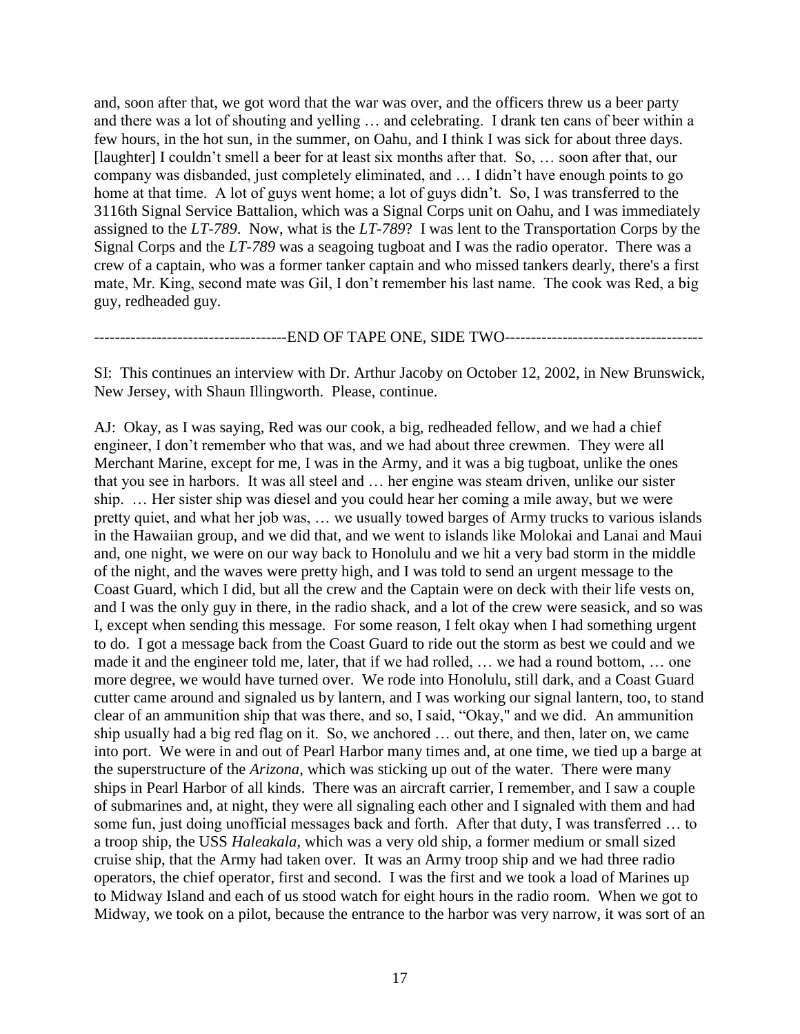and, soon after that, we got word that the war was over, and the officers threw us a beer party and there was a lot of shouting and yelling … and celebrating. I drank ten cans of beer within a few hours, in the hot sun, in the summer, on Oahu, and I think I was sick for about three days. [laughter] I couldn't smell a beer for at least six months after that. So, … soon after that, our company was disbanded, just completely eliminated, and … I didn't have enough points to go home at that time. A lot of guys went home; a lot of guys didn't. So, I was transferred to the 3116th Signal Service Battalion, which was a Signal Corps unit on Oahu, and I was immediately assigned to the *LT-789*. Now, what is the *LT-789*? I was lent to the Transportation Corps by the Signal Corps and the *LT-789* was a seagoing tugboat and I was the radio operator. There was a crew of a captain, who was a former tanker captain and who missed tankers dearly, there's a first mate, Mr. King, second mate was Gil, I don't remember his last name. The cook was Red, a big guy, redheaded guy.

----------END OF TAPE ONE, SIDE TWO-----------------

SI: This continues an interview with Dr. Arthur Jacoby on October 12, 2002, in New Brunswick, New Jersey, with Shaun Illingworth. Please, continue.

AJ: Okay, as I was saying, Red was our cook, a big, redheaded fellow, and we had a chief engineer, I don't remember who that was, and we had about three crewmen. They were all Merchant Marine, except for me, I was in the Army, and it was a big tugboat, unlike the ones that you see in harbors. It was all steel and … her engine was steam driven, unlike our sister ship. … Her sister ship was diesel and you could hear her coming a mile away, but we were pretty quiet, and what her job was, … we usually towed barges of Army trucks to various islands in the Hawaiian group, and we did that, and we went to islands like Molokai and Lanai and Maui and, one night, we were on our way back to Honolulu and we hit a very bad storm in the middle of the night, and the waves were pretty high, and I was told to send an urgent message to the Coast Guard, which I did, but all the crew and the Captain were on deck with their life vests on, and I was the only guy in there, in the radio shack, and a lot of the crew were seasick, and so was I, except when sending this message. For some reason, I felt okay when I had something urgent to do. I got a message back from the Coast Guard to ride out the storm as best we could and we made it and the engineer told me, later, that if we had rolled, … we had a round bottom, … one more degree, we would have turned over. We rode into Honolulu, still dark, and a Coast Guard cutter came around and signaled us by lantern, and I was working our signal lantern, too, to stand clear of an ammunition ship that was there, and so, I said, "Okay," and we did. An ammunition ship usually had a big red flag on it. So, we anchored … out there, and then, later on, we came into port. We were in and out of Pearl Harbor many times and, at one time, we tied up a barge at the superstructure of the *Arizona*, which was sticking up out of the water. There were many ships in Pearl Harbor of all kinds. There was an aircraft carrier, I remember, and I saw a couple of submarines and, at night, they were all signaling each other and I signaled with them and had some fun, just doing unofficial messages back and forth. After that duty, I was transferred … to a troop ship, the USS *Haleakala*, which was a very old ship, a former medium or small sized cruise ship, that the Army had taken over. It was an Army troop ship and we had three radio operators, the chief operator, first and second. I was the first and we took a load of Marines up to Midway Island and each of us stood watch for eight hours in the radio room. When we got to Midway, we took on a pilot, because the entrance to the harbor was very narrow, it was sort of an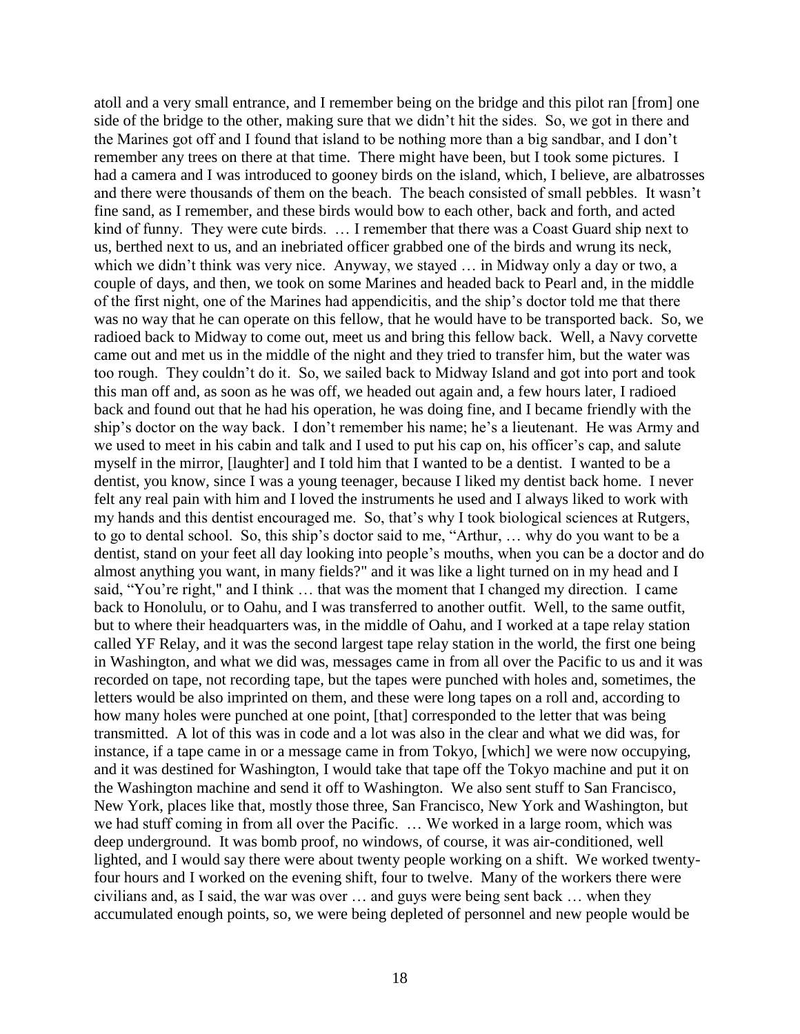atoll and a very small entrance, and I remember being on the bridge and this pilot ran [from] one side of the bridge to the other, making sure that we didn't hit the sides. So, we got in there and the Marines got off and I found that island to be nothing more than a big sandbar, and I don't remember any trees on there at that time. There might have been, but I took some pictures. I had a camera and I was introduced to gooney birds on the island, which, I believe, are albatrosses and there were thousands of them on the beach. The beach consisted of small pebbles. It wasn't fine sand, as I remember, and these birds would bow to each other, back and forth, and acted kind of funny. They were cute birds. … I remember that there was a Coast Guard ship next to us, berthed next to us, and an inebriated officer grabbed one of the birds and wrung its neck, which we didn't think was very nice. Anyway, we stayed … in Midway only a day or two, a couple of days, and then, we took on some Marines and headed back to Pearl and, in the middle of the first night, one of the Marines had appendicitis, and the ship's doctor told me that there was no way that he can operate on this fellow, that he would have to be transported back. So, we radioed back to Midway to come out, meet us and bring this fellow back. Well, a Navy corvette came out and met us in the middle of the night and they tried to transfer him, but the water was too rough. They couldn't do it. So, we sailed back to Midway Island and got into port and took this man off and, as soon as he was off, we headed out again and, a few hours later, I radioed back and found out that he had his operation, he was doing fine, and I became friendly with the ship's doctor on the way back. I don't remember his name; he's a lieutenant. He was Army and we used to meet in his cabin and talk and I used to put his cap on, his officer's cap, and salute myself in the mirror, [laughter] and I told him that I wanted to be a dentist. I wanted to be a dentist, you know, since I was a young teenager, because I liked my dentist back home. I never felt any real pain with him and I loved the instruments he used and I always liked to work with my hands and this dentist encouraged me. So, that's why I took biological sciences at Rutgers, to go to dental school. So, this ship's doctor said to me, "Arthur, … why do you want to be a dentist, stand on your feet all day looking into people's mouths, when you can be a doctor and do almost anything you want, in many fields?" and it was like a light turned on in my head and I said, "You're right," and I think … that was the moment that I changed my direction. I came back to Honolulu, or to Oahu, and I was transferred to another outfit. Well, to the same outfit, but to where their headquarters was, in the middle of Oahu, and I worked at a tape relay station called YF Relay, and it was the second largest tape relay station in the world, the first one being in Washington, and what we did was, messages came in from all over the Pacific to us and it was recorded on tape, not recording tape, but the tapes were punched with holes and, sometimes, the letters would be also imprinted on them, and these were long tapes on a roll and, according to how many holes were punched at one point, [that] corresponded to the letter that was being transmitted. A lot of this was in code and a lot was also in the clear and what we did was, for instance, if a tape came in or a message came in from Tokyo, [which] we were now occupying, and it was destined for Washington, I would take that tape off the Tokyo machine and put it on the Washington machine and send it off to Washington. We also sent stuff to San Francisco, New York, places like that, mostly those three, San Francisco, New York and Washington, but we had stuff coming in from all over the Pacific. … We worked in a large room, which was deep underground. It was bomb proof, no windows, of course, it was air-conditioned, well lighted, and I would say there were about twenty people working on a shift. We worked twentyfour hours and I worked on the evening shift, four to twelve. Many of the workers there were civilians and, as I said, the war was over … and guys were being sent back … when they accumulated enough points, so, we were being depleted of personnel and new people would be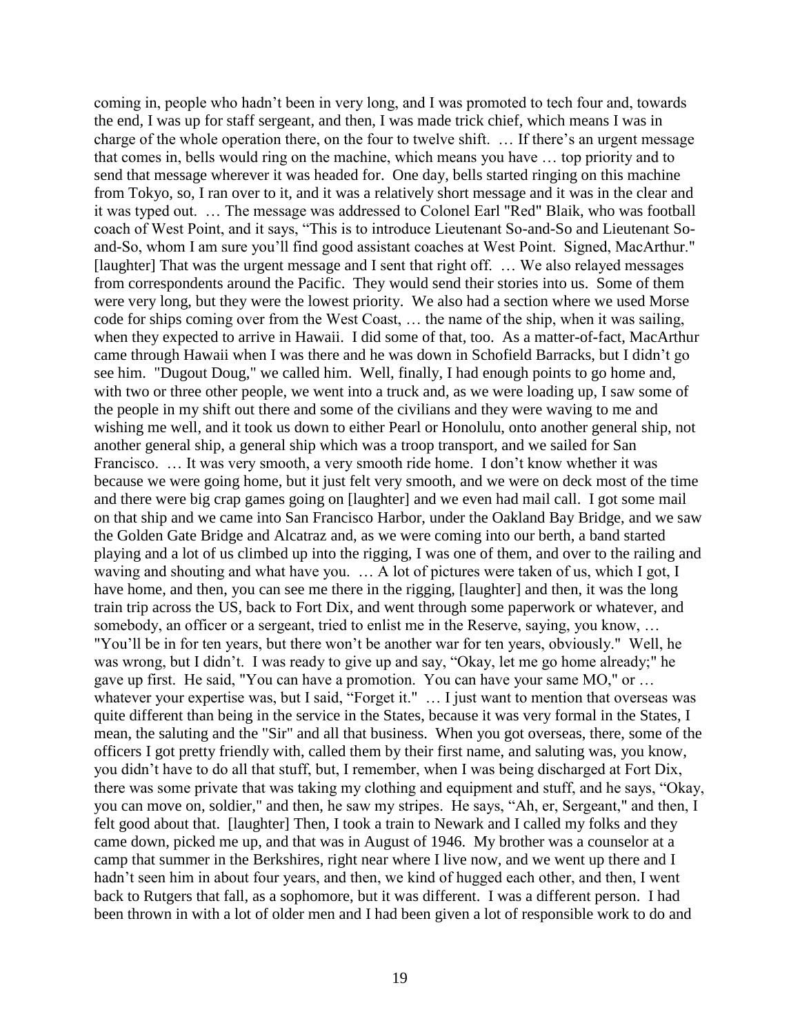coming in, people who hadn't been in very long, and I was promoted to tech four and, towards the end, I was up for staff sergeant, and then, I was made trick chief, which means I was in charge of the whole operation there, on the four to twelve shift. … If there's an urgent message that comes in, bells would ring on the machine, which means you have … top priority and to send that message wherever it was headed for. One day, bells started ringing on this machine from Tokyo, so, I ran over to it, and it was a relatively short message and it was in the clear and it was typed out. … The message was addressed to Colonel Earl "Red" Blaik, who was football coach of West Point, and it says, "This is to introduce Lieutenant So-and-So and Lieutenant Soand-So, whom I am sure you'll find good assistant coaches at West Point. Signed, MacArthur." [laughter] That was the urgent message and I sent that right off. … We also relayed messages from correspondents around the Pacific. They would send their stories into us. Some of them were very long, but they were the lowest priority. We also had a section where we used Morse code for ships coming over from the West Coast, … the name of the ship, when it was sailing, when they expected to arrive in Hawaii. I did some of that, too. As a matter-of-fact, MacArthur came through Hawaii when I was there and he was down in Schofield Barracks, but I didn't go see him. "Dugout Doug," we called him. Well, finally, I had enough points to go home and, with two or three other people, we went into a truck and, as we were loading up, I saw some of the people in my shift out there and some of the civilians and they were waving to me and wishing me well, and it took us down to either Pearl or Honolulu, onto another general ship, not another general ship, a general ship which was a troop transport, and we sailed for San Francisco. … It was very smooth, a very smooth ride home. I don't know whether it was because we were going home, but it just felt very smooth, and we were on deck most of the time and there were big crap games going on [laughter] and we even had mail call. I got some mail on that ship and we came into San Francisco Harbor, under the Oakland Bay Bridge, and we saw the Golden Gate Bridge and Alcatraz and, as we were coming into our berth, a band started playing and a lot of us climbed up into the rigging, I was one of them, and over to the railing and waving and shouting and what have you. … A lot of pictures were taken of us, which I got, I have home, and then, you can see me there in the rigging, [laughter] and then, it was the long train trip across the US, back to Fort Dix, and went through some paperwork or whatever, and somebody, an officer or a sergeant, tried to enlist me in the Reserve, saying, you know, ... "You'll be in for ten years, but there won't be another war for ten years, obviously." Well, he was wrong, but I didn't. I was ready to give up and say, "Okay, let me go home already;" he gave up first. He said, "You can have a promotion. You can have your same MO," or … whatever your expertise was, but I said, "Forget it." ... I just want to mention that overseas was quite different than being in the service in the States, because it was very formal in the States, I mean, the saluting and the "Sir" and all that business. When you got overseas, there, some of the officers I got pretty friendly with, called them by their first name, and saluting was, you know, you didn't have to do all that stuff, but, I remember, when I was being discharged at Fort Dix, there was some private that was taking my clothing and equipment and stuff, and he says, "Okay, you can move on, soldier," and then, he saw my stripes. He says, "Ah, er, Sergeant," and then, I felt good about that. [laughter] Then, I took a train to Newark and I called my folks and they came down, picked me up, and that was in August of 1946. My brother was a counselor at a camp that summer in the Berkshires, right near where I live now, and we went up there and I hadn't seen him in about four years, and then, we kind of hugged each other, and then, I went back to Rutgers that fall, as a sophomore, but it was different. I was a different person. I had been thrown in with a lot of older men and I had been given a lot of responsible work to do and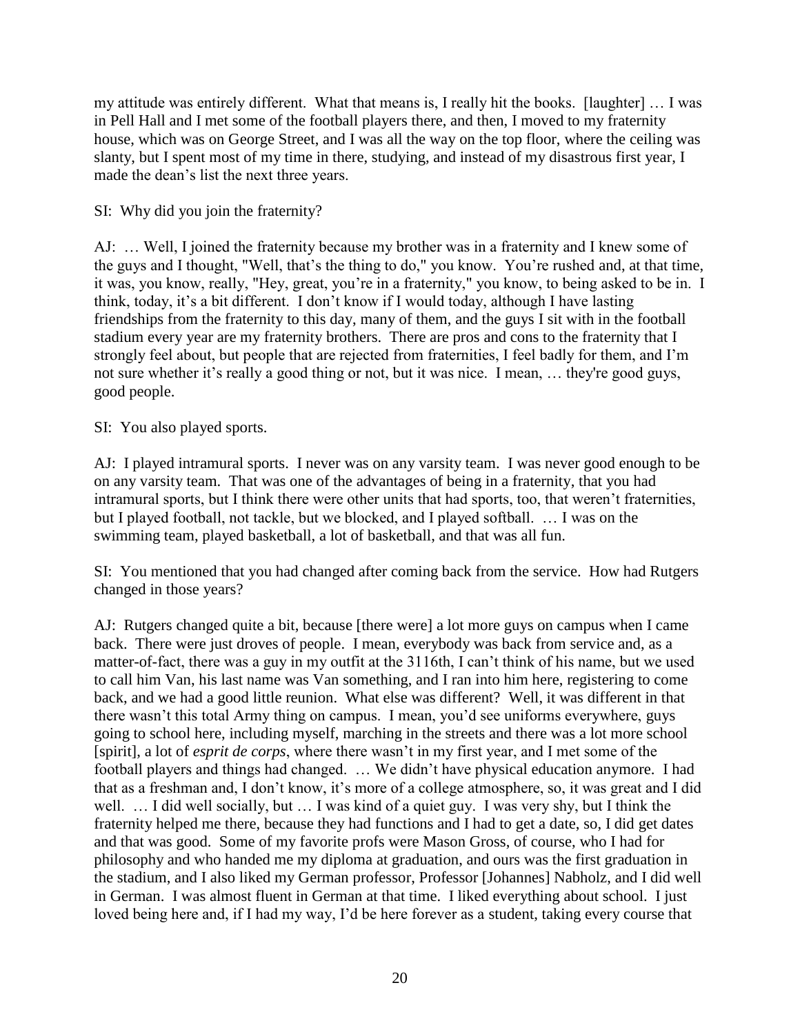my attitude was entirely different. What that means is, I really hit the books. [laughter] … I was in Pell Hall and I met some of the football players there, and then, I moved to my fraternity house, which was on George Street, and I was all the way on the top floor, where the ceiling was slanty, but I spent most of my time in there, studying, and instead of my disastrous first year, I made the dean's list the next three years.

# SI: Why did you join the fraternity?

AJ: … Well, I joined the fraternity because my brother was in a fraternity and I knew some of the guys and I thought, "Well, that's the thing to do," you know. You're rushed and, at that time, it was, you know, really, "Hey, great, you're in a fraternity," you know, to being asked to be in. I think, today, it's a bit different. I don't know if I would today, although I have lasting friendships from the fraternity to this day, many of them, and the guys I sit with in the football stadium every year are my fraternity brothers. There are pros and cons to the fraternity that I strongly feel about, but people that are rejected from fraternities, I feel badly for them, and I'm not sure whether it's really a good thing or not, but it was nice. I mean, … they're good guys, good people.

# SI: You also played sports.

AJ: I played intramural sports. I never was on any varsity team. I was never good enough to be on any varsity team. That was one of the advantages of being in a fraternity, that you had intramural sports, but I think there were other units that had sports, too, that weren't fraternities, but I played football, not tackle, but we blocked, and I played softball. … I was on the swimming team, played basketball, a lot of basketball, and that was all fun.

SI: You mentioned that you had changed after coming back from the service. How had Rutgers changed in those years?

AJ: Rutgers changed quite a bit, because [there were] a lot more guys on campus when I came back. There were just droves of people. I mean, everybody was back from service and, as a matter-of-fact, there was a guy in my outfit at the 3116th, I can't think of his name, but we used to call him Van, his last name was Van something, and I ran into him here, registering to come back, and we had a good little reunion. What else was different? Well, it was different in that there wasn't this total Army thing on campus. I mean, you'd see uniforms everywhere, guys going to school here, including myself, marching in the streets and there was a lot more school [spirit], a lot of *esprit de corps*, where there wasn't in my first year, and I met some of the football players and things had changed. … We didn't have physical education anymore. I had that as a freshman and, I don't know, it's more of a college atmosphere, so, it was great and I did well. … I did well socially, but … I was kind of a quiet guy. I was very shy, but I think the fraternity helped me there, because they had functions and I had to get a date, so, I did get dates and that was good. Some of my favorite profs were Mason Gross, of course, who I had for philosophy and who handed me my diploma at graduation, and ours was the first graduation in the stadium, and I also liked my German professor, Professor [Johannes] Nabholz, and I did well in German. I was almost fluent in German at that time. I liked everything about school. I just loved being here and, if I had my way, I'd be here forever as a student, taking every course that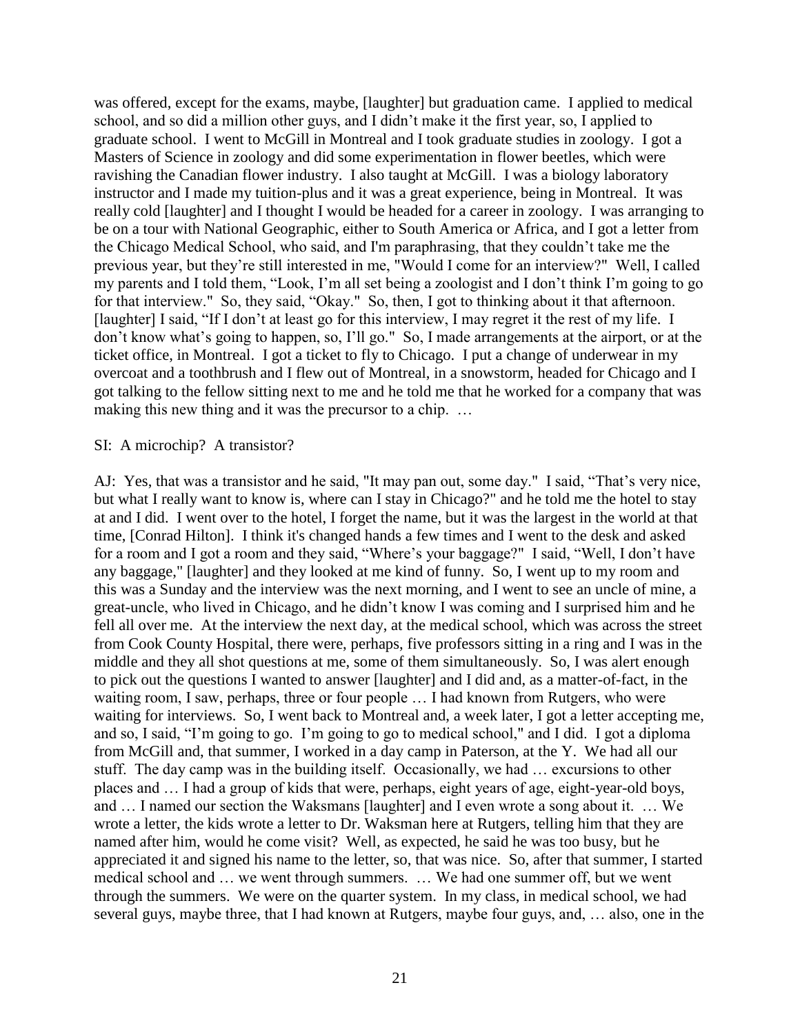was offered, except for the exams, maybe, [laughter] but graduation came. I applied to medical school, and so did a million other guys, and I didn't make it the first year, so, I applied to graduate school. I went to McGill in Montreal and I took graduate studies in zoology. I got a Masters of Science in zoology and did some experimentation in flower beetles, which were ravishing the Canadian flower industry. I also taught at McGill. I was a biology laboratory instructor and I made my tuition-plus and it was a great experience, being in Montreal. It was really cold [laughter] and I thought I would be headed for a career in zoology. I was arranging to be on a tour with National Geographic, either to South America or Africa, and I got a letter from the Chicago Medical School, who said, and I'm paraphrasing, that they couldn't take me the previous year, but they're still interested in me, "Would I come for an interview?" Well, I called my parents and I told them, "Look, I'm all set being a zoologist and I don't think I'm going to go for that interview." So, they said, "Okay." So, then, I got to thinking about it that afternoon. [laughter] I said, "If I don't at least go for this interview, I may regret it the rest of my life. I don't know what's going to happen, so, I'll go." So, I made arrangements at the airport, or at the ticket office, in Montreal. I got a ticket to fly to Chicago. I put a change of underwear in my overcoat and a toothbrush and I flew out of Montreal, in a snowstorm, headed for Chicago and I got talking to the fellow sitting next to me and he told me that he worked for a company that was making this new thing and it was the precursor to a chip. …

#### SI: A microchip? A transistor?

AJ: Yes, that was a transistor and he said, "It may pan out, some day." I said, "That's very nice, but what I really want to know is, where can I stay in Chicago?" and he told me the hotel to stay at and I did. I went over to the hotel, I forget the name, but it was the largest in the world at that time, [Conrad Hilton]. I think it's changed hands a few times and I went to the desk and asked for a room and I got a room and they said, "Where's your baggage?" I said, "Well, I don't have any baggage," [laughter] and they looked at me kind of funny. So, I went up to my room and this was a Sunday and the interview was the next morning, and I went to see an uncle of mine, a great-uncle, who lived in Chicago, and he didn't know I was coming and I surprised him and he fell all over me. At the interview the next day, at the medical school, which was across the street from Cook County Hospital, there were, perhaps, five professors sitting in a ring and I was in the middle and they all shot questions at me, some of them simultaneously. So, I was alert enough to pick out the questions I wanted to answer [laughter] and I did and, as a matter-of-fact, in the waiting room, I saw, perhaps, three or four people ... I had known from Rutgers, who were waiting for interviews. So, I went back to Montreal and, a week later, I got a letter accepting me, and so, I said, "I'm going to go. I'm going to go to medical school," and I did. I got a diploma from McGill and, that summer, I worked in a day camp in Paterson, at the Y. We had all our stuff. The day camp was in the building itself. Occasionally, we had … excursions to other places and … I had a group of kids that were, perhaps, eight years of age, eight-year-old boys, and … I named our section the Waksmans [laughter] and I even wrote a song about it. … We wrote a letter, the kids wrote a letter to Dr. Waksman here at Rutgers, telling him that they are named after him, would he come visit? Well, as expected, he said he was too busy, but he appreciated it and signed his name to the letter, so, that was nice. So, after that summer, I started medical school and … we went through summers. … We had one summer off, but we went through the summers. We were on the quarter system. In my class, in medical school, we had several guys, maybe three, that I had known at Rutgers, maybe four guys, and, … also, one in the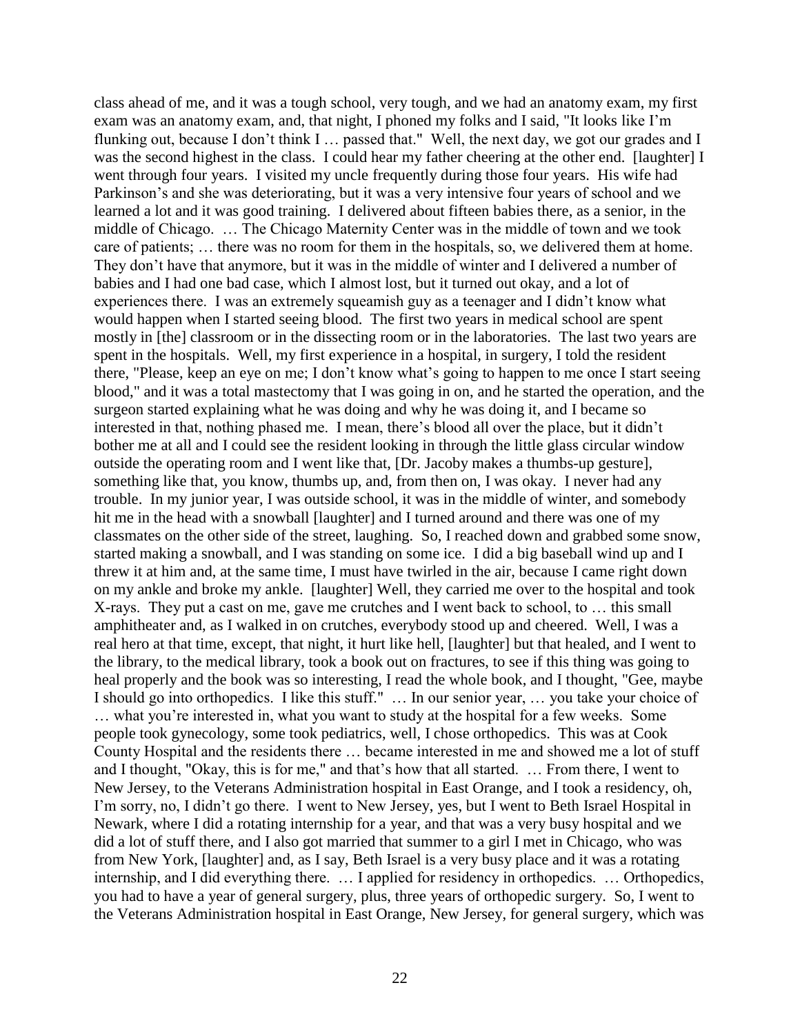class ahead of me, and it was a tough school, very tough, and we had an anatomy exam, my first exam was an anatomy exam, and, that night, I phoned my folks and I said, "It looks like I'm flunking out, because I don't think I … passed that." Well, the next day, we got our grades and I was the second highest in the class. I could hear my father cheering at the other end. [laughter] I went through four years. I visited my uncle frequently during those four years. His wife had Parkinson's and she was deteriorating, but it was a very intensive four years of school and we learned a lot and it was good training. I delivered about fifteen babies there, as a senior, in the middle of Chicago. … The Chicago Maternity Center was in the middle of town and we took care of patients; … there was no room for them in the hospitals, so, we delivered them at home. They don't have that anymore, but it was in the middle of winter and I delivered a number of babies and I had one bad case, which I almost lost, but it turned out okay, and a lot of experiences there. I was an extremely squeamish guy as a teenager and I didn't know what would happen when I started seeing blood. The first two years in medical school are spent mostly in [the] classroom or in the dissecting room or in the laboratories. The last two years are spent in the hospitals. Well, my first experience in a hospital, in surgery, I told the resident there, "Please, keep an eye on me; I don't know what's going to happen to me once I start seeing blood," and it was a total mastectomy that I was going in on, and he started the operation, and the surgeon started explaining what he was doing and why he was doing it, and I became so interested in that, nothing phased me. I mean, there's blood all over the place, but it didn't bother me at all and I could see the resident looking in through the little glass circular window outside the operating room and I went like that, [Dr. Jacoby makes a thumbs-up gesture], something like that, you know, thumbs up, and, from then on, I was okay. I never had any trouble. In my junior year, I was outside school, it was in the middle of winter, and somebody hit me in the head with a snowball [laughter] and I turned around and there was one of my classmates on the other side of the street, laughing. So, I reached down and grabbed some snow, started making a snowball, and I was standing on some ice. I did a big baseball wind up and I threw it at him and, at the same time, I must have twirled in the air, because I came right down on my ankle and broke my ankle. [laughter] Well, they carried me over to the hospital and took X-rays. They put a cast on me, gave me crutches and I went back to school, to … this small amphitheater and, as I walked in on crutches, everybody stood up and cheered. Well, I was a real hero at that time, except, that night, it hurt like hell, [laughter] but that healed, and I went to the library, to the medical library, took a book out on fractures, to see if this thing was going to heal properly and the book was so interesting, I read the whole book, and I thought, "Gee, maybe I should go into orthopedics. I like this stuff." … In our senior year, … you take your choice of … what you're interested in, what you want to study at the hospital for a few weeks. Some people took gynecology, some took pediatrics, well, I chose orthopedics. This was at Cook County Hospital and the residents there … became interested in me and showed me a lot of stuff and I thought, "Okay, this is for me," and that's how that all started. … From there, I went to New Jersey, to the Veterans Administration hospital in East Orange, and I took a residency, oh, I'm sorry, no, I didn't go there. I went to New Jersey, yes, but I went to Beth Israel Hospital in Newark, where I did a rotating internship for a year, and that was a very busy hospital and we did a lot of stuff there, and I also got married that summer to a girl I met in Chicago, who was from New York, [laughter] and, as I say, Beth Israel is a very busy place and it was a rotating internship, and I did everything there. … I applied for residency in orthopedics. … Orthopedics, you had to have a year of general surgery, plus, three years of orthopedic surgery. So, I went to the Veterans Administration hospital in East Orange, New Jersey, for general surgery, which was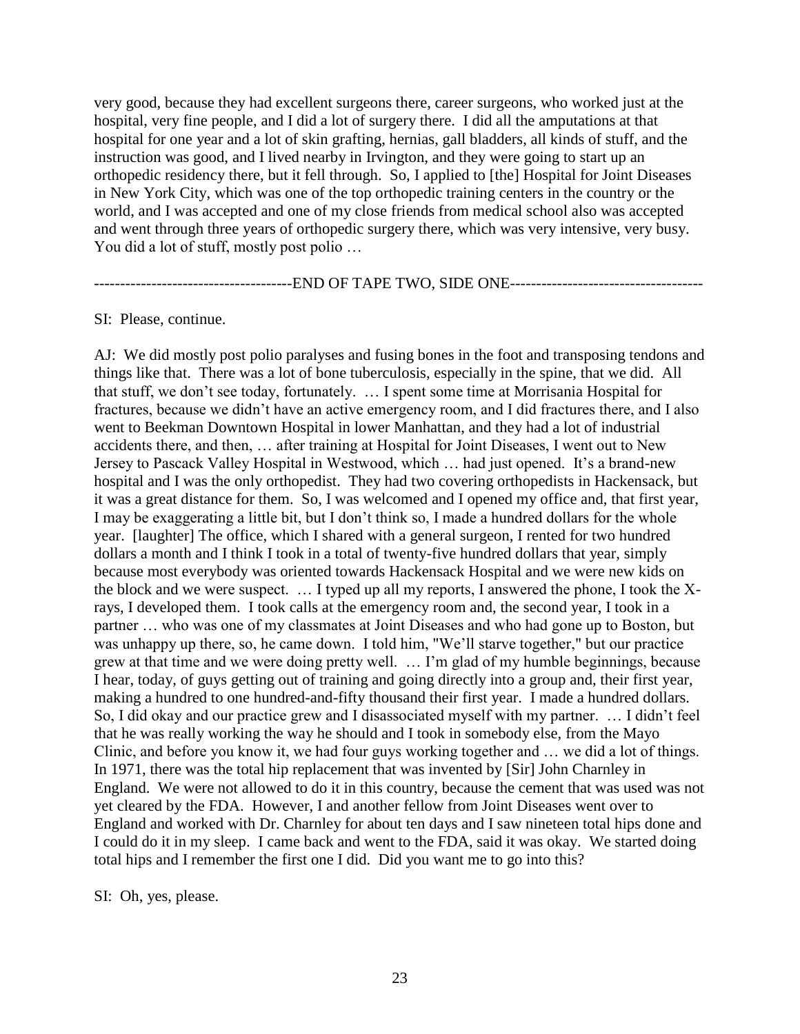very good, because they had excellent surgeons there, career surgeons, who worked just at the hospital, very fine people, and I did a lot of surgery there. I did all the amputations at that hospital for one year and a lot of skin grafting, hernias, gall bladders, all kinds of stuff, and the instruction was good, and I lived nearby in Irvington, and they were going to start up an orthopedic residency there, but it fell through. So, I applied to [the] Hospital for Joint Diseases in New York City, which was one of the top orthopedic training centers in the country or the world, and I was accepted and one of my close friends from medical school also was accepted and went through three years of orthopedic surgery there, which was very intensive, very busy. You did a lot of stuff, mostly post polio ...

--------------------------------------END OF TAPE TWO, SIDE ONE-------------------------------------

SI: Please, continue.

AJ: We did mostly post polio paralyses and fusing bones in the foot and transposing tendons and things like that. There was a lot of bone tuberculosis, especially in the spine, that we did. All that stuff, we don't see today, fortunately. … I spent some time at Morrisania Hospital for fractures, because we didn't have an active emergency room, and I did fractures there, and I also went to Beekman Downtown Hospital in lower Manhattan, and they had a lot of industrial accidents there, and then, … after training at Hospital for Joint Diseases, I went out to New Jersey to Pascack Valley Hospital in Westwood, which … had just opened. It's a brand-new hospital and I was the only orthopedist. They had two covering orthopedists in Hackensack, but it was a great distance for them. So, I was welcomed and I opened my office and, that first year, I may be exaggerating a little bit, but I don't think so, I made a hundred dollars for the whole year. [laughter] The office, which I shared with a general surgeon, I rented for two hundred dollars a month and I think I took in a total of twenty-five hundred dollars that year, simply because most everybody was oriented towards Hackensack Hospital and we were new kids on the block and we were suspect. … I typed up all my reports, I answered the phone, I took the Xrays, I developed them. I took calls at the emergency room and, the second year, I took in a partner … who was one of my classmates at Joint Diseases and who had gone up to Boston, but was unhappy up there, so, he came down. I told him, "We'll starve together," but our practice grew at that time and we were doing pretty well. … I'm glad of my humble beginnings, because I hear, today, of guys getting out of training and going directly into a group and, their first year, making a hundred to one hundred-and-fifty thousand their first year. I made a hundred dollars. So, I did okay and our practice grew and I disassociated myself with my partner. … I didn't feel that he was really working the way he should and I took in somebody else, from the Mayo Clinic, and before you know it, we had four guys working together and … we did a lot of things. In 1971, there was the total hip replacement that was invented by [Sir] John Charnley in England. We were not allowed to do it in this country, because the cement that was used was not yet cleared by the FDA. However, I and another fellow from Joint Diseases went over to England and worked with Dr. Charnley for about ten days and I saw nineteen total hips done and I could do it in my sleep. I came back and went to the FDA, said it was okay. We started doing total hips and I remember the first one I did. Did you want me to go into this?

SI: Oh, yes, please.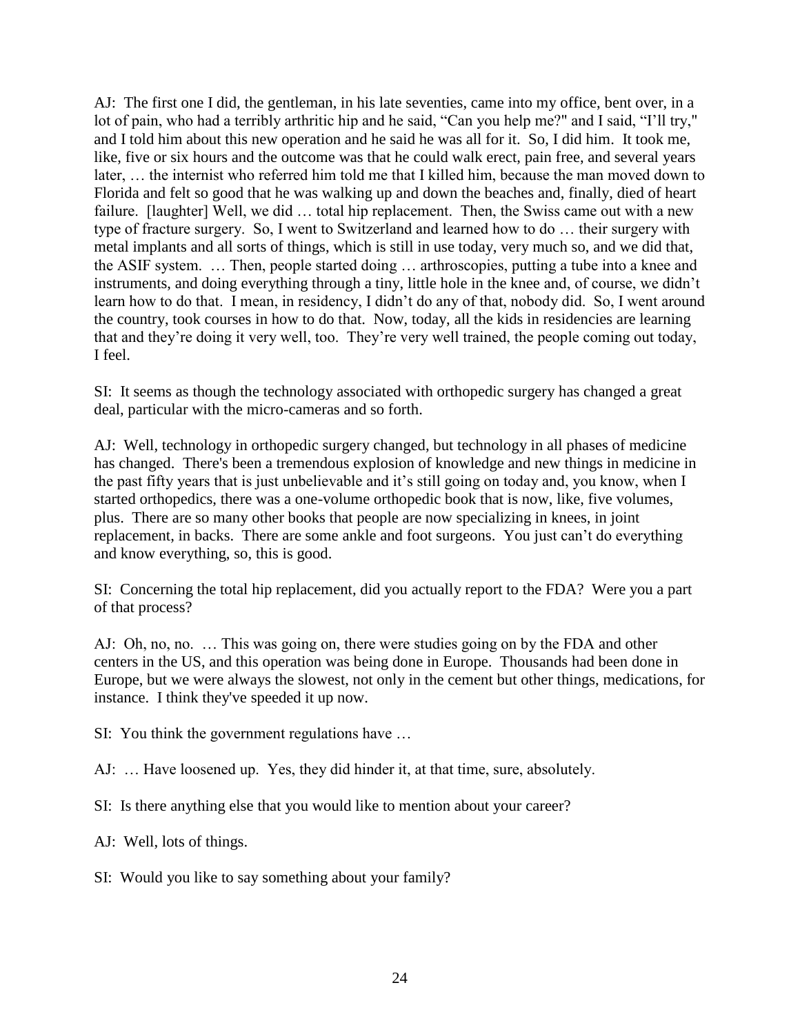AJ: The first one I did, the gentleman, in his late seventies, came into my office, bent over, in a lot of pain, who had a terribly arthritic hip and he said, "Can you help me?" and I said, "I'll try," and I told him about this new operation and he said he was all for it. So, I did him. It took me, like, five or six hours and the outcome was that he could walk erect, pain free, and several years later, … the internist who referred him told me that I killed him, because the man moved down to Florida and felt so good that he was walking up and down the beaches and, finally, died of heart failure. [laughter] Well, we did ... total hip replacement. Then, the Swiss came out with a new type of fracture surgery. So, I went to Switzerland and learned how to do … their surgery with metal implants and all sorts of things, which is still in use today, very much so, and we did that, the ASIF system. … Then, people started doing … arthroscopies, putting a tube into a knee and instruments, and doing everything through a tiny, little hole in the knee and, of course, we didn't learn how to do that. I mean, in residency, I didn't do any of that, nobody did. So, I went around the country, took courses in how to do that. Now, today, all the kids in residencies are learning that and they're doing it very well, too. They're very well trained, the people coming out today, I feel.

SI: It seems as though the technology associated with orthopedic surgery has changed a great deal, particular with the micro-cameras and so forth.

AJ: Well, technology in orthopedic surgery changed, but technology in all phases of medicine has changed. There's been a tremendous explosion of knowledge and new things in medicine in the past fifty years that is just unbelievable and it's still going on today and, you know, when I started orthopedics, there was a one-volume orthopedic book that is now, like, five volumes, plus. There are so many other books that people are now specializing in knees, in joint replacement, in backs. There are some ankle and foot surgeons. You just can't do everything and know everything, so, this is good.

SI: Concerning the total hip replacement, did you actually report to the FDA? Were you a part of that process?

AJ: Oh, no, no. … This was going on, there were studies going on by the FDA and other centers in the US, and this operation was being done in Europe. Thousands had been done in Europe, but we were always the slowest, not only in the cement but other things, medications, for instance. I think they've speeded it up now.

SI: You think the government regulations have …

AJ: … Have loosened up. Yes, they did hinder it, at that time, sure, absolutely.

SI: Is there anything else that you would like to mention about your career?

AJ: Well, lots of things.

SI: Would you like to say something about your family?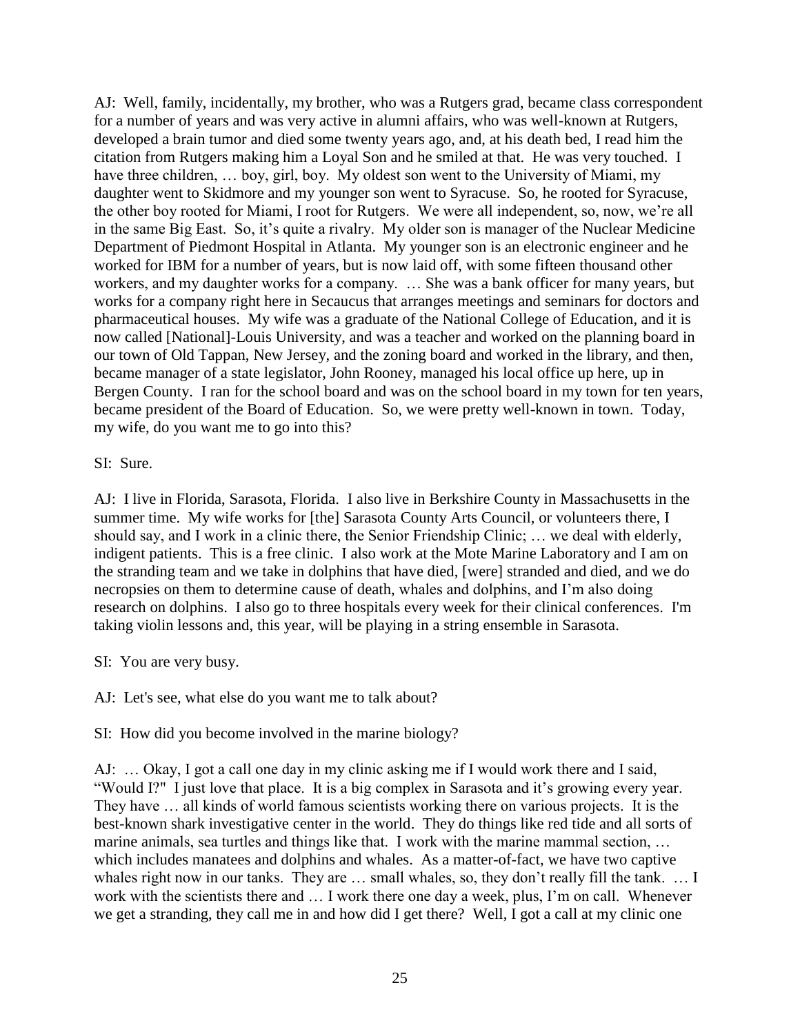AJ: Well, family, incidentally, my brother, who was a Rutgers grad, became class correspondent for a number of years and was very active in alumni affairs, who was well-known at Rutgers, developed a brain tumor and died some twenty years ago, and, at his death bed, I read him the citation from Rutgers making him a Loyal Son and he smiled at that. He was very touched. I have three children, ... boy, girl, boy. My oldest son went to the University of Miami, my daughter went to Skidmore and my younger son went to Syracuse. So, he rooted for Syracuse, the other boy rooted for Miami, I root for Rutgers. We were all independent, so, now, we're all in the same Big East. So, it's quite a rivalry. My older son is manager of the Nuclear Medicine Department of Piedmont Hospital in Atlanta. My younger son is an electronic engineer and he worked for IBM for a number of years, but is now laid off, with some fifteen thousand other workers, and my daughter works for a company. … She was a bank officer for many years, but works for a company right here in Secaucus that arranges meetings and seminars for doctors and pharmaceutical houses. My wife was a graduate of the National College of Education, and it is now called [National]-Louis University, and was a teacher and worked on the planning board in our town of Old Tappan, New Jersey, and the zoning board and worked in the library, and then, became manager of a state legislator, John Rooney, managed his local office up here, up in Bergen County. I ran for the school board and was on the school board in my town for ten years, became president of the Board of Education. So, we were pretty well-known in town. Today, my wife, do you want me to go into this?

SI: Sure.

AJ: I live in Florida, Sarasota, Florida. I also live in Berkshire County in Massachusetts in the summer time. My wife works for [the] Sarasota County Arts Council, or volunteers there, I should say, and I work in a clinic there, the Senior Friendship Clinic; … we deal with elderly, indigent patients. This is a free clinic. I also work at the Mote Marine Laboratory and I am on the stranding team and we take in dolphins that have died, [were] stranded and died, and we do necropsies on them to determine cause of death, whales and dolphins, and I'm also doing research on dolphins. I also go to three hospitals every week for their clinical conferences. I'm taking violin lessons and, this year, will be playing in a string ensemble in Sarasota.

SI: You are very busy.

AJ: Let's see, what else do you want me to talk about?

SI: How did you become involved in the marine biology?

AJ: … Okay, I got a call one day in my clinic asking me if I would work there and I said, "Would I?" I just love that place. It is a big complex in Sarasota and it's growing every year. They have … all kinds of world famous scientists working there on various projects. It is the best-known shark investigative center in the world. They do things like red tide and all sorts of marine animals, sea turtles and things like that. I work with the marine mammal section, … which includes manatees and dolphins and whales. As a matter-of-fact, we have two captive whales right now in our tanks. They are ... small whales, so, they don't really fill the tank. ... I work with the scientists there and … I work there one day a week, plus, I'm on call. Whenever we get a stranding, they call me in and how did I get there? Well, I got a call at my clinic one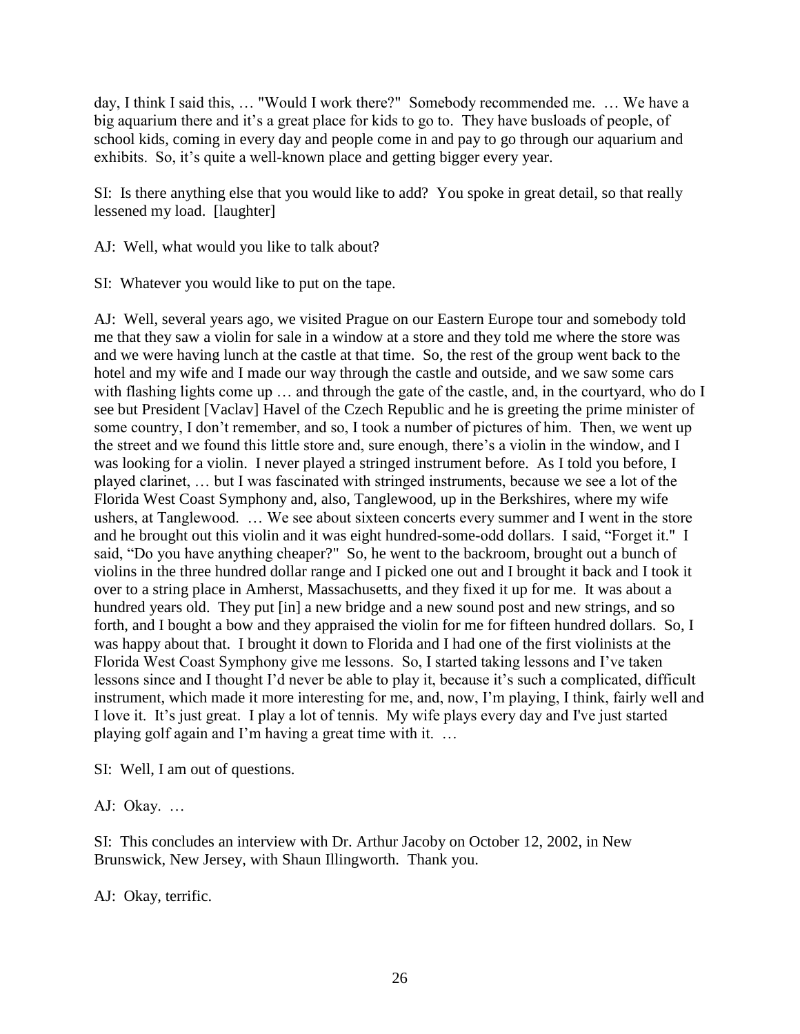day, I think I said this, … "Would I work there?" Somebody recommended me. … We have a big aquarium there and it's a great place for kids to go to. They have busloads of people, of school kids, coming in every day and people come in and pay to go through our aquarium and exhibits. So, it's quite a well-known place and getting bigger every year.

SI: Is there anything else that you would like to add? You spoke in great detail, so that really lessened my load. [laughter]

AJ: Well, what would you like to talk about?

SI: Whatever you would like to put on the tape.

AJ: Well, several years ago, we visited Prague on our Eastern Europe tour and somebody told me that they saw a violin for sale in a window at a store and they told me where the store was and we were having lunch at the castle at that time. So, the rest of the group went back to the hotel and my wife and I made our way through the castle and outside, and we saw some cars with flashing lights come up ... and through the gate of the castle, and, in the courtyard, who do I see but President [Vaclav] Havel of the Czech Republic and he is greeting the prime minister of some country, I don't remember, and so, I took a number of pictures of him. Then, we went up the street and we found this little store and, sure enough, there's a violin in the window, and I was looking for a violin. I never played a stringed instrument before. As I told you before, I played clarinet, … but I was fascinated with stringed instruments, because we see a lot of the Florida West Coast Symphony and, also, Tanglewood, up in the Berkshires, where my wife ushers, at Tanglewood. … We see about sixteen concerts every summer and I went in the store and he brought out this violin and it was eight hundred-some-odd dollars. I said, "Forget it." I said, "Do you have anything cheaper?" So, he went to the backroom, brought out a bunch of violins in the three hundred dollar range and I picked one out and I brought it back and I took it over to a string place in Amherst, Massachusetts, and they fixed it up for me. It was about a hundred years old. They put [in] a new bridge and a new sound post and new strings, and so forth, and I bought a bow and they appraised the violin for me for fifteen hundred dollars. So, I was happy about that. I brought it down to Florida and I had one of the first violinists at the Florida West Coast Symphony give me lessons. So, I started taking lessons and I've taken lessons since and I thought I'd never be able to play it, because it's such a complicated, difficult instrument, which made it more interesting for me, and, now, I'm playing, I think, fairly well and I love it. It's just great. I play a lot of tennis. My wife plays every day and I've just started playing golf again and I'm having a great time with it. …

SI: Well, I am out of questions.

AJ: Okay. …

SI: This concludes an interview with Dr. Arthur Jacoby on October 12, 2002, in New Brunswick, New Jersey, with Shaun Illingworth. Thank you.

AJ: Okay, terrific.